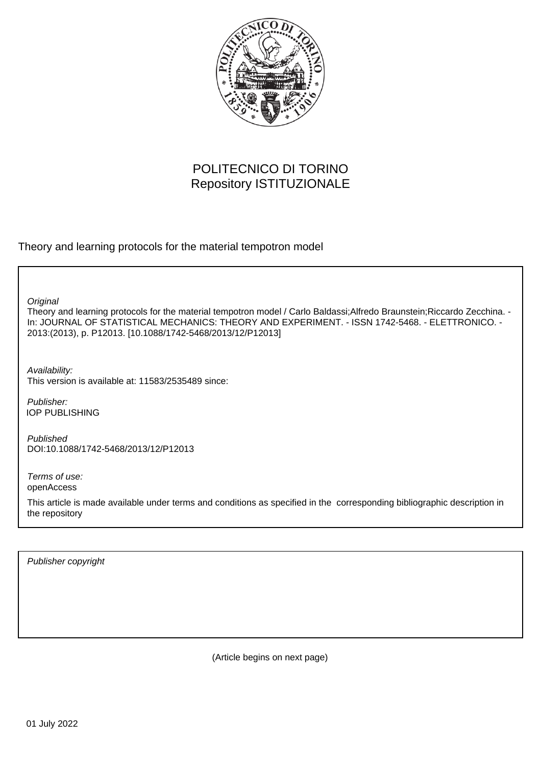

# POLITECNICO DI TORINO Repository ISTITUZIONALE

Theory and learning protocols for the material tempotron model

**Original** 

Theory and learning protocols for the material tempotron model / Carlo Baldassi;Alfredo Braunstein;Riccardo Zecchina. - In: JOURNAL OF STATISTICAL MECHANICS: THEORY AND EXPERIMENT. - ISSN 1742-5468. - ELETTRONICO. - 2013:(2013), p. P12013. [10.1088/1742-5468/2013/12/P12013]

Availability: This version is available at: 11583/2535489 since:

Publisher: IOP PUBLISHING

Published DOI:10.1088/1742-5468/2013/12/P12013

Terms of use: openAccess

This article is made available under terms and conditions as specified in the corresponding bibliographic description in the repository

Publisher copyright

(Article begins on next page)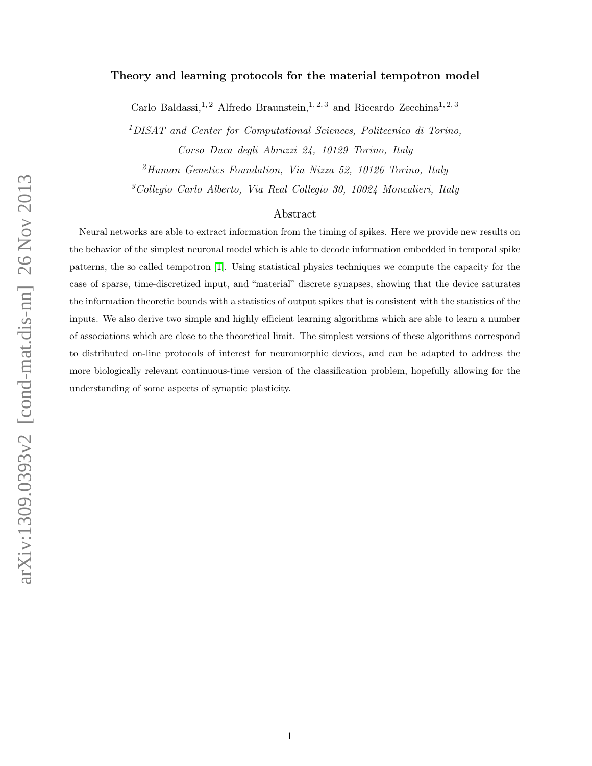## Theory and learning protocols for the material tempotron model

Carlo Baldassi,<sup>1,2</sup> Alfredo Braunstein,<sup>1,2,3</sup> and Riccardo Zecchina<sup>1,2,3</sup>

<sup>1</sup>DISAT and Center for Computational Sciences, Politecnico di Torino, Corso Duca degli Abruzzi 24, 10129 Torino, Italy

 $^{2}$ Human Genetics Foundation, Via Nizza 52, 10126 Torino, Italy

<sup>3</sup>Collegio Carlo Alberto, Via Real Collegio 30, 10024 Moncalieri, Italy

# Abstract

Neural networks are able to extract information from the timing of spikes. Here we provide new results on the behavior of the simplest neuronal model which is able to decode information embedded in temporal spike patterns, the so called tempotron [1]. Using statistical physics techniques we compute the capacity for the case of sparse, time-discretized input, and "material" discrete synapses, showing that the device saturates the information theoretic bounds with a statistics of output spikes that is consistent with the statistics of the inputs. We also derive two simple and highly efficient learning algorithms which are able to learn a number of associations which are close to the theoretical limit. The simplest versions of these algorithms correspond to distributed on-line protocols of interest for neuromorphic devices, and can be adapted to address the more biologically relevant continuous-time version of the classification problem, hopefully allowing for the understanding of some aspects of synaptic plasticity.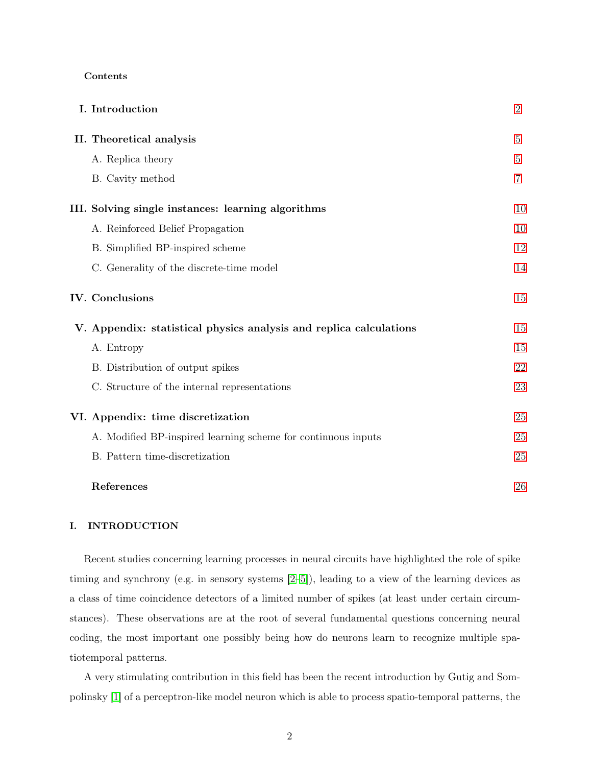#### Contents

|  | I. Introduction                                                    | $\overline{2}$ |
|--|--------------------------------------------------------------------|----------------|
|  | II. Theoretical analysis                                           | $5\,$          |
|  | A. Replica theory                                                  | $5\,$          |
|  | B. Cavity method                                                   | $\overline{7}$ |
|  | III. Solving single instances: learning algorithms                 | 10             |
|  | A. Reinforced Belief Propagation                                   | 10             |
|  | B. Simplified BP-inspired scheme                                   | 12             |
|  | C. Generality of the discrete-time model                           | 14             |
|  | <b>IV.</b> Conclusions                                             | 15             |
|  | V. Appendix: statistical physics analysis and replica calculations | 15             |
|  | A. Entropy                                                         | 15             |
|  | B. Distribution of output spikes                                   | 22             |
|  | C. Structure of the internal representations                       | 23             |
|  | VI. Appendix: time discretization                                  | 25             |
|  | A. Modified BP-inspired learning scheme for continuous inputs      | 25             |
|  | B. Pattern time-discretization                                     | 25             |
|  | References                                                         | 26             |

# I. INTRODUCTION

Recent studies concerning learning processes in neural circuits have highlighted the role of spike timing and synchrony (e.g. in sensory systems [2–5]), leading to a view of the learning devices as a class of time coincidence detectors of a limited number of spikes (at least under certain circumstances). These observations are at the root of several fundamental questions concerning neural coding, the most important one possibly being how do neurons learn to recognize multiple spatiotemporal patterns.

A very stimulating contribution in this field has been the recent introduction by Gutig and Sompolinsky [1] of a perceptron-like model neuron which is able to process spatio-temporal patterns, the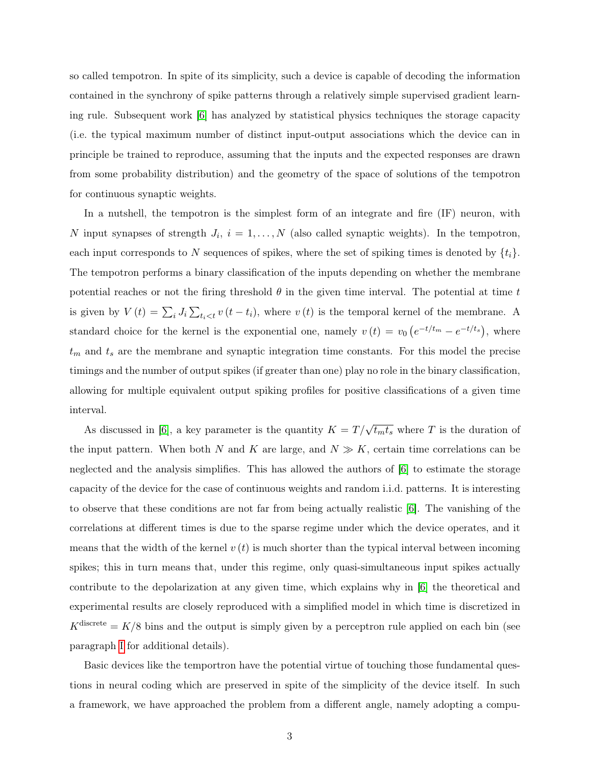so called tempotron. In spite of its simplicity, such a device is capable of decoding the information contained in the synchrony of spike patterns through a relatively simple supervised gradient learning rule. Subsequent work [6] has analyzed by statistical physics techniques the storage capacity (i.e. the typical maximum number of distinct input-output associations which the device can in principle be trained to reproduce, assuming that the inputs and the expected responses are drawn from some probability distribution) and the geometry of the space of solutions of the tempotron for continuous synaptic weights.

In a nutshell, the tempotron is the simplest form of an integrate and fire (IF) neuron, with N input synapses of strength  $J_i$ ,  $i = 1, \ldots, N$  (also called synaptic weights). In the tempotron, each input corresponds to N sequences of spikes, where the set of spiking times is denoted by  $\{t_i\}$ . The tempotron performs a binary classification of the inputs depending on whether the membrane potential reaches or not the firing threshold  $\theta$  in the given time interval. The potential at time t is given by  $V(t) = \sum_i J_i \sum_{t_i < t} v(t - t_i)$ , where  $v(t)$  is the temporal kernel of the membrane. A standard choice for the kernel is the exponential one, namely  $v(t) = v_0 (e^{-t/t_m} - e^{-t/t_s})$ , where  $t_m$  and  $t_s$  are the membrane and synaptic integration time constants. For this model the precise timings and the number of output spikes (if greater than one) play no role in the binary classification, allowing for multiple equivalent output spiking profiles for positive classifications of a given time interval.

As discussed in [6], a key parameter is the quantity  $K = T/\sqrt{t_m t_s}$  where T is the duration of the input pattern. When both N and K are large, and  $N \gg K$ , certain time correlations can be neglected and the analysis simplifies. This has allowed the authors of [6] to estimate the storage capacity of the device for the case of continuous weights and random i.i.d. patterns. It is interesting to observe that these conditions are not far from being actually realistic [6]. The vanishing of the correlations at different times is due to the sparse regime under which the device operates, and it means that the width of the kernel  $v(t)$  is much shorter than the typical interval between incoming spikes; this in turn means that, under this regime, only quasi-simultaneous input spikes actually contribute to the depolarization at any given time, which explains why in [6] the theoretical and experimental results are closely reproduced with a simplified model in which time is discretized in  $K^{\text{discrete}} = K/8$  bins and the output is simply given by a perceptron rule applied on each bin (see paragraph I for additional details).

Basic devices like the temportron have the potential virtue of touching those fundamental questions in neural coding which are preserved in spite of the simplicity of the device itself. In such a framework, we have approached the problem from a different angle, namely adopting a compu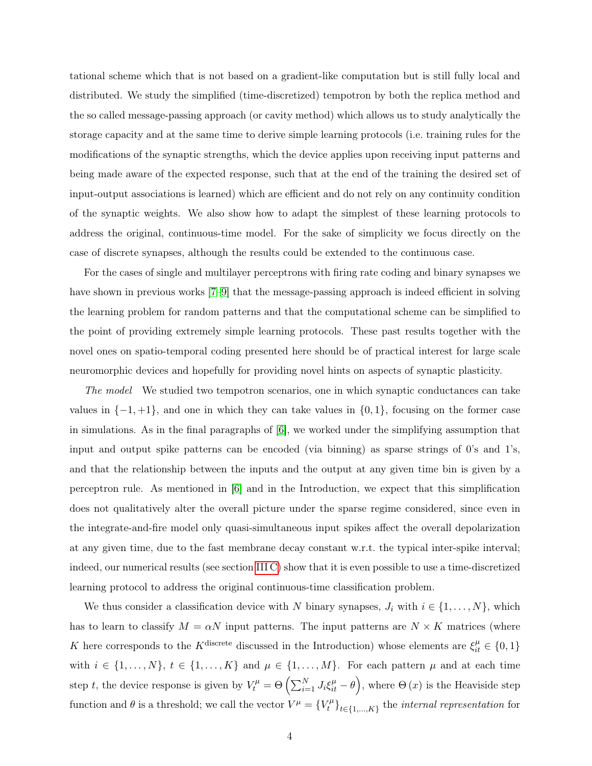tational scheme which that is not based on a gradient-like computation but is still fully local and distributed. We study the simplified (time-discretized) tempotron by both the replica method and the so called message-passing approach (or cavity method) which allows us to study analytically the storage capacity and at the same time to derive simple learning protocols (i.e. training rules for the modifications of the synaptic strengths, which the device applies upon receiving input patterns and being made aware of the expected response, such that at the end of the training the desired set of input-output associations is learned) which are efficient and do not rely on any continuity condition of the synaptic weights. We also show how to adapt the simplest of these learning protocols to address the original, continuous-time model. For the sake of simplicity we focus directly on the case of discrete synapses, although the results could be extended to the continuous case.

For the cases of single and multilayer perceptrons with firing rate coding and binary synapses we have shown in previous works  $[7-9]$  that the message-passing approach is indeed efficient in solving the learning problem for random patterns and that the computational scheme can be simplified to the point of providing extremely simple learning protocols. These past results together with the novel ones on spatio-temporal coding presented here should be of practical interest for large scale neuromorphic devices and hopefully for providing novel hints on aspects of synaptic plasticity.

The model We studied two tempotron scenarios, one in which synaptic conductances can take values in  $\{-1, +1\}$ , and one in which they can take values in  $\{0, 1\}$ , focusing on the former case in simulations. As in the final paragraphs of [6], we worked under the simplifying assumption that input and output spike patterns can be encoded (via binning) as sparse strings of 0's and 1's, and that the relationship between the inputs and the output at any given time bin is given by a perceptron rule. As mentioned in [6] and in the Introduction, we expect that this simplification does not qualitatively alter the overall picture under the sparse regime considered, since even in the integrate-and-fire model only quasi-simultaneous input spikes affect the overall depolarization at any given time, due to the fast membrane decay constant w.r.t. the typical inter-spike interval; indeed, our numerical results (see section III C) show that it is even possible to use a time-discretized learning protocol to address the original continuous-time classification problem.

We thus consider a classification device with N binary synapses,  $J_i$  with  $i \in \{1, \ldots, N\}$ , which has to learn to classify  $M = \alpha N$  input patterns. The input patterns are  $N \times K$  matrices (where K here corresponds to the K<sup>discrete</sup> discussed in the Introduction) whose elements are  $\xi_{it}^{\mu} \in \{0,1\}$ with  $i \in \{1, ..., N\}, t \in \{1, ..., K\}$  and  $\mu \in \{1, ..., M\}$ . For each pattern  $\mu$  and at each time step t, the device response is given by  $V_t^{\mu} = \Theta\left(\sum_{i=1}^N J_i \xi_{it}^{\mu} - \theta\right)$ , where  $\Theta(x)$  is the Heaviside step function and  $\theta$  is a threshold; we call the vector  $V^{\mu} = \{V_t^{\mu}$  $\{t^{\mu}\}_{t\in\{1,...,K\}}$  the *internal representation* for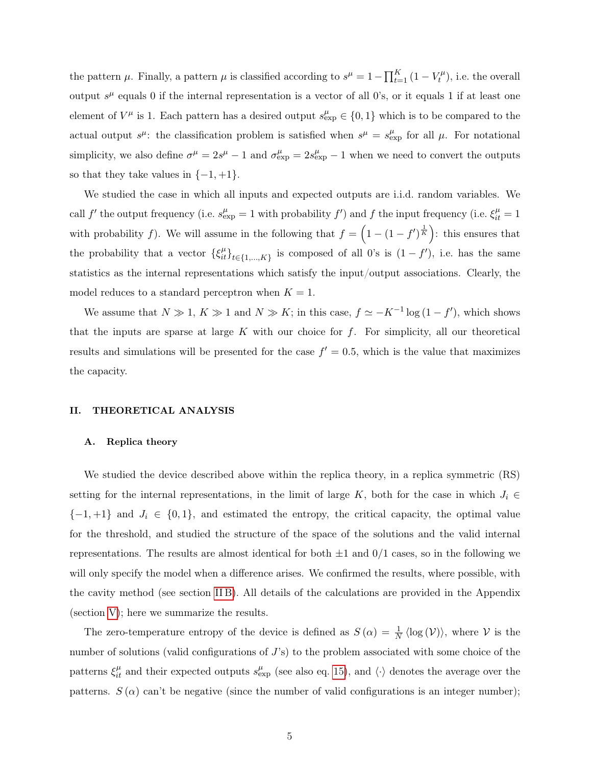the pattern  $\mu$ . Finally, a pattern  $\mu$  is classified according to  $s^{\mu} = 1 - \prod_{t=1}^{K} (1 - V_t^{\mu})$  $t^{\mu}$ , i.e. the overall output  $s^{\mu}$  equals 0 if the internal representation is a vector of all 0's, or it equals 1 if at least one element of  $V^{\mu}$  is 1. Each pattern has a desired output  $s_{\text{exp}}^{\mu} \in \{0,1\}$  which is to be compared to the actual output  $s^{\mu}$ : the classification problem is satisfied when  $s^{\mu} = s^{\mu}_{\exp}$  for all  $\mu$ . For notational simplicity, we also define  $\sigma^{\mu} = 2s^{\mu} - 1$  and  $\sigma_{\exp}^{\mu} = 2s_{\exp}^{\mu} - 1$  when we need to convert the outputs so that they take values in  $\{-1, +1\}.$ 

We studied the case in which all inputs and expected outputs are i.i.d. random variables. We call f' the output frequency (i.e.  $s_{exp}^{\mu} = 1$  with probability f') and f the input frequency (i.e.  $\xi_{it}^{\mu} = 1$ with probability f). We will assume in the following that  $f = \left(1 - (1 - f')^{\frac{1}{K}}\right)$ : this ensures that the probability that a vector  $\{\xi_{it}^{\mu}\}_{t\in\{1,\ldots,K\}}$  is composed of all 0's is  $(1-f')$ , i.e. has the same statistics as the internal representations which satisfy the input/output associations. Clearly, the model reduces to a standard perceptron when  $K = 1$ .

We assume that  $N \gg 1, K \gg 1$  and  $N \gg K$ ; in this case,  $f \simeq -K^{-1} \log(1-f')$ , which shows that the inputs are sparse at large K with our choice for  $f$ . For simplicity, all our theoretical results and simulations will be presented for the case  $f' = 0.5$ , which is the value that maximizes the capacity.

## II. THEORETICAL ANALYSIS

#### A. Replica theory

We studied the device described above within the replica theory, in a replica symmetric (RS) setting for the internal representations, in the limit of large K, both for the case in which  $J_i \in$  $\{-1,+1\}$  and  $J_i \in \{0,1\}$ , and estimated the entropy, the critical capacity, the optimal value for the threshold, and studied the structure of the space of the solutions and the valid internal representations. The results are almost identical for both  $\pm 1$  and  $0/1$  cases, so in the following we will only specify the model when a difference arises. We confirmed the results, where possible, with the cavity method (see section II B). All details of the calculations are provided in the Appendix (section V); here we summarize the results.

The zero-temperature entropy of the device is defined as  $S(\alpha) = \frac{1}{N} \langle \log(V) \rangle$ , where V is the number of solutions (valid configurations of  $J$ 's) to the problem associated with some choice of the patterns  $\xi_{it}^{\mu}$  and their expected outputs  $s_{\exp}^{\mu}$  (see also eq. 15), and  $\langle \cdot \rangle$  denotes the average over the patterns.  $S(\alpha)$  can't be negative (since the number of valid configurations is an integer number);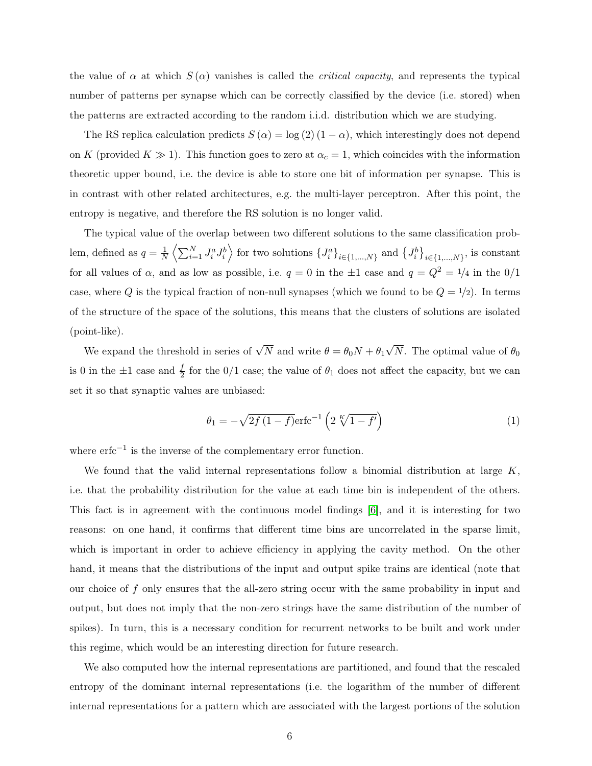the value of  $\alpha$  at which  $S(\alpha)$  vanishes is called the *critical capacity*, and represents the typical number of patterns per synapse which can be correctly classified by the device (i.e. stored) when the patterns are extracted according to the random i.i.d. distribution which we are studying.

The RS replica calculation predicts  $S(\alpha) = \log(2)(1-\alpha)$ , which interestingly does not depend on K (provided  $K \gg 1$ ). This function goes to zero at  $\alpha_c = 1$ , which coincides with the information theoretic upper bound, i.e. the device is able to store one bit of information per synapse. This is in contrast with other related architectures, e.g. the multi-layer perceptron. After this point, the entropy is negative, and therefore the RS solution is no longer valid.

The typical value of the overlap between two different solutions to the same classification problem, defined as  $q = \frac{1}{\lambda}$  $\frac{1}{N}\left\langle \sum_{i=1}^N J_i^a J_i^b \right\rangle$  for two solutions  $\{J_i^a\}_{i \in \{1,\dots,N\}}$  and  $\{J_i^b\}_{i \in \{1,\dots,N\}}$ , is constant for all values of  $\alpha$ , and as low as possible, i.e.  $q = 0$  in the  $\pm 1$  case and  $q = Q^2 = \frac{1}{4}$  in the  $0/1$ case, where Q is the typical fraction of non-null synapses (which we found to be  $Q = 1/2$ ). In terms of the structure of the space of the solutions, this means that the clusters of solutions are isolated (point-like).

We expand the threshold in series of  $\sqrt{N}$  and write  $\theta = \theta_0 N + \theta_1$ √ N. The optimal value of  $\theta_0$ is 0 in the  $\pm 1$  case and  $\frac{f}{2}$  for the 0/1 case; the value of  $\theta_1$  does not affect the capacity, but we can set it so that synaptic values are unbiased:

$$
\theta_1 = -\sqrt{2f(1-f)} \text{erfc}^{-1} \left( 2 \sqrt[K]{1-f'} \right) \tag{1}
$$

where  $erfc^{-1}$  is the inverse of the complementary error function.

We found that the valid internal representations follow a binomial distribution at large  $K$ , i.e. that the probability distribution for the value at each time bin is independent of the others. This fact is in agreement with the continuous model findings [6], and it is interesting for two reasons: on one hand, it confirms that different time bins are uncorrelated in the sparse limit, which is important in order to achieve efficiency in applying the cavity method. On the other hand, it means that the distributions of the input and output spike trains are identical (note that our choice of f only ensures that the all-zero string occur with the same probability in input and output, but does not imply that the non-zero strings have the same distribution of the number of spikes). In turn, this is a necessary condition for recurrent networks to be built and work under this regime, which would be an interesting direction for future research.

We also computed how the internal representations are partitioned, and found that the rescaled entropy of the dominant internal representations (i.e. the logarithm of the number of different internal representations for a pattern which are associated with the largest portions of the solution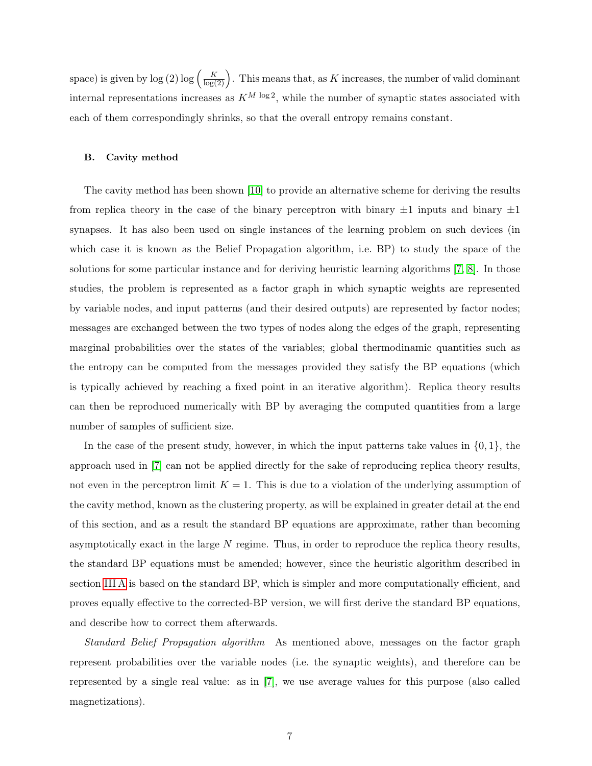space) is given by  $\log (2) \log (\frac{K}{\log(2)})$ . This means that, as K increases, the number of valid dominant internal representations increases as  $K^{M \log 2}$ , while the number of synaptic states associated with each of them correspondingly shrinks, so that the overall entropy remains constant.

## B. Cavity method

The cavity method has been shown [10] to provide an alternative scheme for deriving the results from replica theory in the case of the binary perceptron with binary  $\pm 1$  inputs and binary  $\pm 1$ synapses. It has also been used on single instances of the learning problem on such devices (in which case it is known as the Belief Propagation algorithm, i.e. BP) to study the space of the solutions for some particular instance and for deriving heuristic learning algorithms [7, 8]. In those studies, the problem is represented as a factor graph in which synaptic weights are represented by variable nodes, and input patterns (and their desired outputs) are represented by factor nodes; messages are exchanged between the two types of nodes along the edges of the graph, representing marginal probabilities over the states of the variables; global thermodinamic quantities such as the entropy can be computed from the messages provided they satisfy the BP equations (which is typically achieved by reaching a fixed point in an iterative algorithm). Replica theory results can then be reproduced numerically with BP by averaging the computed quantities from a large number of samples of sufficient size.

In the case of the present study, however, in which the input patterns take values in  $\{0, 1\}$ , the approach used in [7] can not be applied directly for the sake of reproducing replica theory results, not even in the perceptron limit  $K = 1$ . This is due to a violation of the underlying assumption of the cavity method, known as the clustering property, as will be explained in greater detail at the end of this section, and as a result the standard BP equations are approximate, rather than becoming asymptotically exact in the large N regime. Thus, in order to reproduce the replica theory results, the standard BP equations must be amended; however, since the heuristic algorithm described in section III A is based on the standard BP, which is simpler and more computationally efficient, and proves equally effective to the corrected-BP version, we will first derive the standard BP equations, and describe how to correct them afterwards.

Standard Belief Propagation algorithm As mentioned above, messages on the factor graph represent probabilities over the variable nodes (i.e. the synaptic weights), and therefore can be represented by a single real value: as in [7], we use average values for this purpose (also called magnetizations).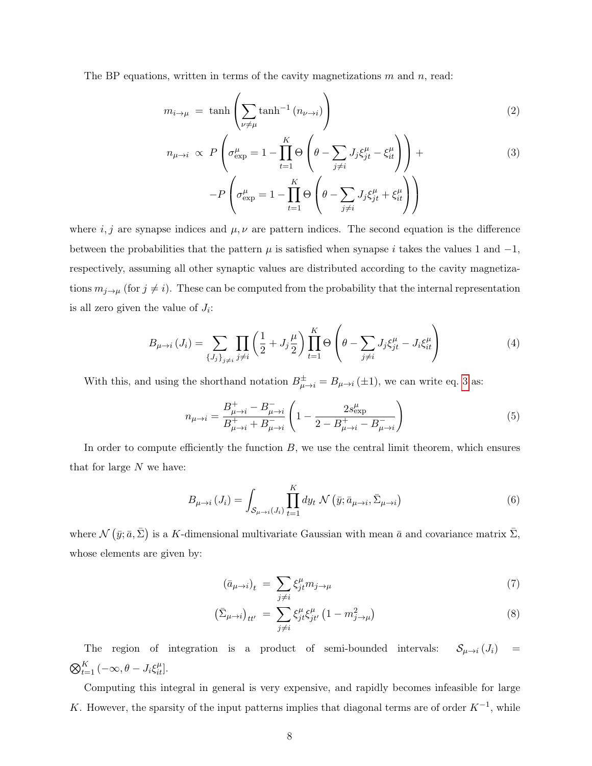The BP equations, written in terms of the cavity magnetizations  $m$  and  $n$ , read:

$$
m_{i \to \mu} = \tanh\left(\sum_{\nu \neq \mu} \tanh^{-1}\left(n_{\nu \to i}\right)\right) \tag{2}
$$

$$
n_{\mu \to i} \propto P\left(\sigma_{\exp}^{\mu} = 1 - \prod_{t=1}^{K} \Theta\left(\theta - \sum_{j \neq i} J_j \xi_{jt}^{\mu} - \xi_{it}^{\mu}\right)\right) +
$$
  
-P\left(\sigma\_{\exp}^{\mu} = 1 - \prod\_{t=1}^{K} \Theta\left(\theta - \sum\_{j \neq i} J\_j \xi\_{jt}^{\mu} + \xi\_{it}^{\mu}\right)\right) (3)

where  $i, j$  are synapse indices and  $\mu, \nu$  are pattern indices. The second equation is the difference between the probabilities that the pattern  $\mu$  is satisfied when synapse i takes the values 1 and  $-1$ , respectively, assuming all other synaptic values are distributed according to the cavity magnetizations  $m_{j\to\mu}$  (for  $j\neq i$ ). These can be computed from the probability that the internal representation is all zero given the value of  $J_i$ :

$$
B_{\mu \to i} (J_i) = \sum_{\{J_j\}_{j \neq i}} \prod_{j \neq i} \left(\frac{1}{2} + J_j \frac{\mu}{2}\right) \prod_{t=1}^K \Theta\left(\theta - \sum_{j \neq i} J_j \xi_{jt}^{\mu} - J_i \xi_{it}^{\mu}\right)
$$
(4)

With this, and using the shorthand notation  $B_{\mu \to i}^{\pm} = B_{\mu \to i} (\pm 1)$ , we can write eq. 3 as:

$$
n_{\mu \to i} = \frac{B_{\mu \to i}^{+} - B_{\mu \to i}^{-}}{B_{\mu \to i}^{+} + B_{\mu \to i}^{-}} \left(1 - \frac{2s_{\exp}^{\mu}}{2 - B_{\mu \to i}^{+} - B_{\mu \to i}^{-}}\right)
$$
(5)

In order to compute efficiently the function  $B$ , we use the central limit theorem, which ensures that for large  $N$  we have:

$$
B_{\mu \to i} (J_i) = \int_{\mathcal{S}_{\mu \to i} (J_i)} \prod_{t=1}^K dy_t \, \mathcal{N} \left( \bar{y}; \bar{a}_{\mu \to i}, \bar{\Sigma}_{\mu \to i} \right) \tag{6}
$$

where  $\mathcal{N}(\bar{y};\bar{a},\bar{\Sigma})$  is a K-dimensional multivariate Gaussian with mean  $\bar{a}$  and covariance matrix  $\bar{\Sigma}$ , whose elements are given by:

$$
(\bar{a}_{\mu \to i})_t = \sum_{j \neq i} \xi_j^{\mu} m_{j \to \mu} \tag{7}
$$

$$
\left(\bar{\Sigma}_{\mu \to i}\right)_{tt'} = \sum_{j \neq i} \xi_{jt}^{\mu} \xi_{jt'}^{\mu} \left(1 - m_{j \to \mu}^2\right)
$$
\n(8)

The region of integration is a product of semi-bounded intervals:  $S_{\mu \to i} (J_i)$  =  $\bigotimes_{t=1}^K (-\infty, \theta - J_i \xi_{it}^{\mu}].$ 

Computing this integral in general is very expensive, and rapidly becomes infeasible for large K. However, the sparsity of the input patterns implies that diagonal terms are of order  $K^{-1}$ , while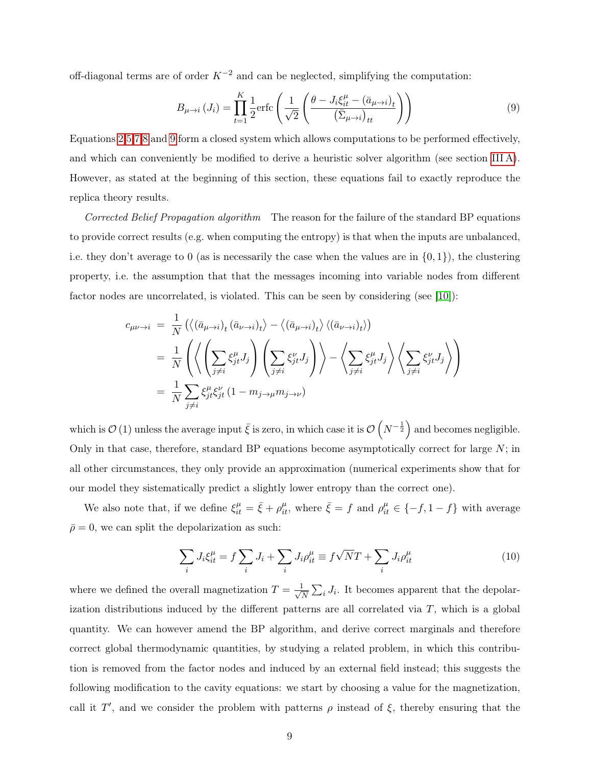off-diagonal terms are of order  $K^{-2}$  and can be neglected, simplifying the computation:

$$
B_{\mu \to i} (J_i) = \prod_{t=1}^{K} \frac{1}{2} \text{erfc}\left(\frac{1}{\sqrt{2}} \left(\frac{\theta - J_i \xi_{it}^{\mu} - (\bar{a}_{\mu \to i})_t}{(\bar{\Sigma}_{\mu \to i})_{tt}}\right)\right)
$$
(9)

Equations 2,5,7,8 and 9 form a closed system which allows computations to be performed effectively, and which can conveniently be modified to derive a heuristic solver algorithm (see section III A). However, as stated at the beginning of this section, these equations fail to exactly reproduce the replica theory results.

Corrected Belief Propagation algorithm The reason for the failure of the standard BP equations to provide correct results (e.g. when computing the entropy) is that when the inputs are unbalanced, i.e. they don't average to 0 (as is necessarily the case when the values are in  $\{0, 1\}$ ), the clustering property, i.e. the assumption that that the messages incoming into variable nodes from different factor nodes are uncorrelated, is violated. This can be seen by considering (see [10]):

$$
c_{\mu\nu \to i} = \frac{1}{N} \left( \left\langle (\bar{a}_{\mu \to i})_t (\bar{a}_{\nu \to i})_t \right\rangle - \left\langle (\bar{a}_{\mu \to i})_t \right\rangle \left\langle (\bar{a}_{\nu \to i})_t \right\rangle \right)
$$
  

$$
= \frac{1}{N} \left( \left\langle \left( \sum_{j \neq i} \xi_{jt}^{\mu} J_j \right) \left( \sum_{j \neq i} \xi_{jt}^{\nu} J_j \right) \right\rangle - \left\langle \sum_{j \neq i} \xi_{jt}^{\mu} J_j \right\rangle \left\langle \sum_{j \neq i} \xi_{jt}^{\nu} J_j \right\rangle \right)
$$
  

$$
= \frac{1}{N} \sum_{j \neq i} \xi_{jt}^{\mu} \xi_{jt}^{\nu} (1 - m_{j \to \mu} m_{j \to \nu})
$$

which is  $\mathcal{O}(1)$  unless the average input  $\bar{\xi}$  is zero, in which case it is  $\mathcal{O}(N^{-\frac{1}{2}})$  and becomes negligible. Only in that case, therefore, standard BP equations become asymptotically correct for large  $N$ ; in all other circumstances, they only provide an approximation (numerical experiments show that for our model they sistematically predict a slightly lower entropy than the correct one).

We also note that, if we define  $\xi_{it}^{\mu} = \bar{\xi} + \rho_{it}^{\mu}$ , where  $\bar{\xi} = f$  and  $\rho_{it}^{\mu} \in \{-f, 1 - f\}$  with average  $\bar{\rho}=0$ , we can split the depolarization as such:

$$
\sum_{i} J_i \xi_{it}^{\mu} = f \sum_{i} J_i + \sum_{i} J_i \rho_{it}^{\mu} \equiv f \sqrt{N} T + \sum_{i} J_i \rho_{it}^{\mu}
$$
\n(10)

where we defined the overall magnetization  $T = \frac{1}{\sqrt{2}}$  $\frac{1}{N} \sum_i J_i$ . It becomes apparent that the depolarization distributions induced by the different patterns are all correlated via  $T$ , which is a global quantity. We can however amend the BP algorithm, and derive correct marginals and therefore correct global thermodynamic quantities, by studying a related problem, in which this contribution is removed from the factor nodes and induced by an external field instead; this suggests the following modification to the cavity equations: we start by choosing a value for the magnetization, call it T', and we consider the problem with patterns  $\rho$  instead of  $\xi$ , thereby ensuring that the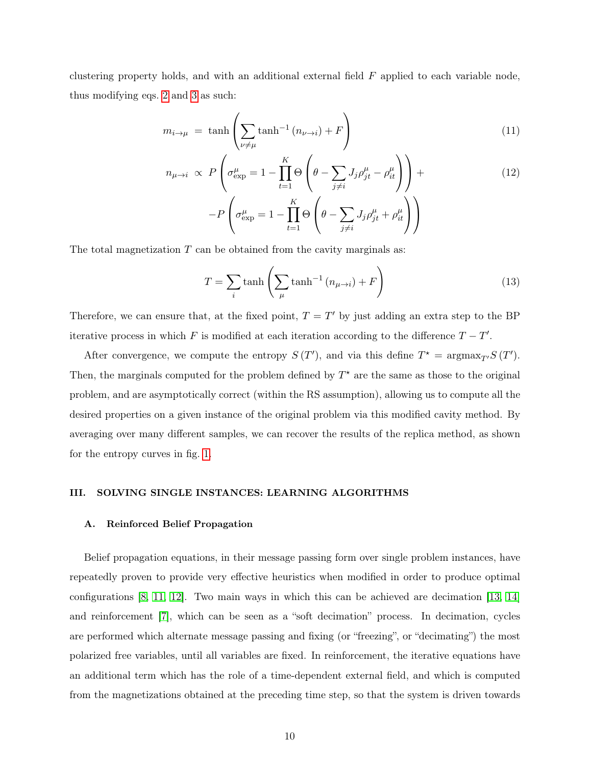clustering property holds, and with an additional external field  $F$  applied to each variable node, thus modifying eqs. 2 and 3 as such:

$$
m_{i \to \mu} = \tanh\left(\sum_{\nu \neq \mu} \tanh^{-1}\left(n_{\nu \to i}\right) + F\right) \tag{11}
$$

$$
n_{\mu \to i} \propto P\left(\sigma_{\exp}^{\mu} = 1 - \prod_{t=1}^{K} \Theta\left(\theta - \sum_{j \neq i} J_j \rho_{jt}^{\mu} - \rho_{it}^{\mu}\right)\right) +
$$
  
-P\left(\sigma\_{\exp}^{\mu} = 1 - \prod\_{t=1}^{K} \Theta\left(\theta - \sum\_{j \neq i} J\_j \rho\_{jt}^{\mu} + \rho\_{it}^{\mu}\right)\right) (12)

The total magnetization  $T$  can be obtained from the cavity marginals as:

$$
T = \sum_{i} \tanh\left(\sum_{\mu} \tanh^{-1}\left(n_{\mu \to i}\right) + F\right)
$$
 (13)

Therefore, we can ensure that, at the fixed point,  $T = T'$  by just adding an extra step to the BP iterative process in which F is modified at each iteration according to the difference  $T - T'$ .

After convergence, we compute the entropy  $S(T')$ , and via this define  $T^* = \argmax_{T'} S(T')$ . Then, the marginals computed for the problem defined by  $T^*$  are the same as those to the original problem, and are asymptotically correct (within the RS assumption), allowing us to compute all the desired properties on a given instance of the original problem via this modified cavity method. By averaging over many different samples, we can recover the results of the replica method, as shown for the entropy curves in fig. 1.

#### III. SOLVING SINGLE INSTANCES: LEARNING ALGORITHMS

#### A. Reinforced Belief Propagation

Belief propagation equations, in their message passing form over single problem instances, have repeatedly proven to provide very effective heuristics when modified in order to produce optimal configurations [8, 11, 12]. Two main ways in which this can be achieved are decimation [13, 14] and reinforcement [7], which can be seen as a "soft decimation" process. In decimation, cycles are performed which alternate message passing and fixing (or "freezing", or "decimating") the most polarized free variables, until all variables are fixed. In reinforcement, the iterative equations have an additional term which has the role of a time-dependent external field, and which is computed from the magnetizations obtained at the preceding time step, so that the system is driven towards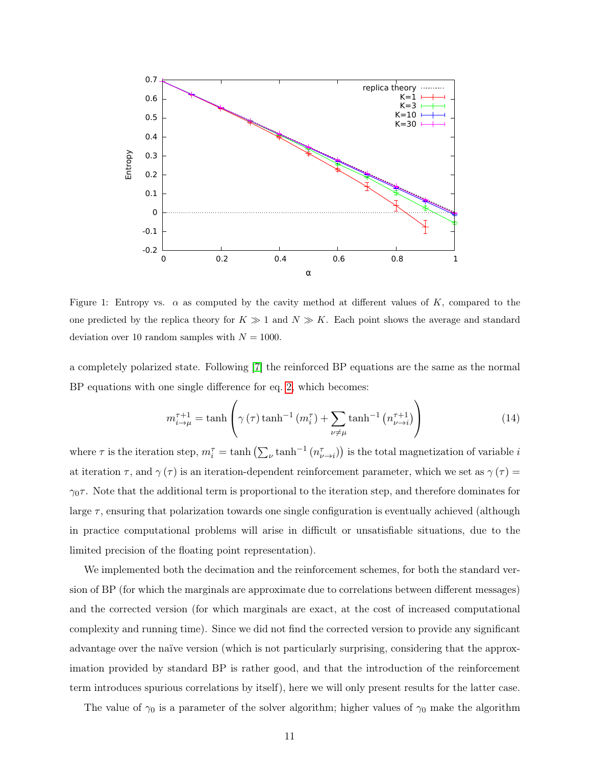

Figure 1: Entropy vs.  $\alpha$  as computed by the cavity method at different values of K, compared to the one predicted by the replica theory for  $K \gg 1$  and  $N \gg K$ . Each point shows the average and standard deviation over 10 random samples with  $N = 1000$ .

a completely polarized state. Following [7] the reinforced BP equations are the same as the normal BP equations with one single difference for eq. 2, which becomes:

$$
m_{i\to\mu}^{\tau+1} = \tanh\left(\gamma\left(\tau\right)\tanh^{-1}\left(m_i^{\tau}\right) + \sum_{\nu\neq\mu}\tanh^{-1}\left(n_{\nu\to i}^{\tau+1}\right)\right) \tag{14}
$$

where  $\tau$  is the iteration step,  $m_i^{\tau} = \tanh\left(\sum_{\nu} \tanh^{-1}\left(n_{\nu \to i}^{\tau}\right)\right)$  is the total magnetization of variable i at iteration  $\tau$ , and  $\gamma(\tau)$  is an iteration-dependent reinforcement parameter, which we set as  $\gamma(\tau)$  =  $\gamma_0\tau$ . Note that the additional term is proportional to the iteration step, and therefore dominates for large  $\tau$ , ensuring that polarization towards one single configuration is eventually achieved (although in practice computational problems will arise in difficult or unsatisfiable situations, due to the limited precision of the floating point representation).

We implemented both the decimation and the reinforcement schemes, for both the standard version of BP (for which the marginals are approximate due to correlations between different messages) and the corrected version (for which marginals are exact, at the cost of increased computational complexity and running time). Since we did not find the corrected version to provide any significant advantage over the naïve version (which is not particularly surprising, considering that the approximation provided by standard BP is rather good, and that the introduction of the reinforcement term introduces spurious correlations by itself), here we will only present results for the latter case.

The value of  $\gamma_0$  is a parameter of the solver algorithm; higher values of  $\gamma_0$  make the algorithm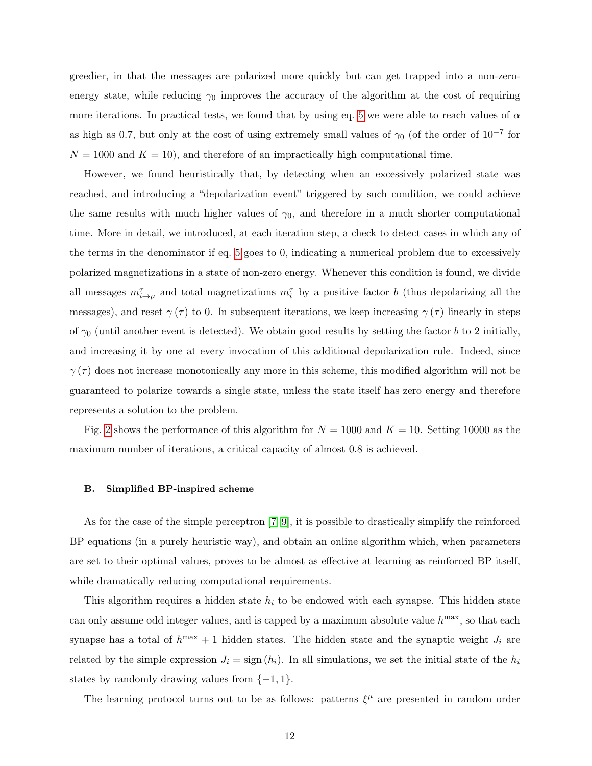greedier, in that the messages are polarized more quickly but can get trapped into a non-zeroenergy state, while reducing  $\gamma_0$  improves the accuracy of the algorithm at the cost of requiring more iterations. In practical tests, we found that by using eq. 5 we were able to reach values of  $\alpha$ as high as 0.7, but only at the cost of using extremely small values of  $\gamma_0$  (of the order of 10<sup>-7</sup> for  $N = 1000$  and  $K = 10$ , and therefore of an impractically high computational time.

However, we found heuristically that, by detecting when an excessively polarized state was reached, and introducing a "depolarization event" triggered by such condition, we could achieve the same results with much higher values of  $\gamma_0$ , and therefore in a much shorter computational time. More in detail, we introduced, at each iteration step, a check to detect cases in which any of the terms in the denominator if eq. 5 goes to 0, indicating a numerical problem due to excessively polarized magnetizations in a state of non-zero energy. Whenever this condition is found, we divide all messages  $m_{i\to\mu}^{\tau}$  and total magnetizations  $m_i^{\tau}$  by a positive factor b (thus depolarizing all the messages), and reset  $\gamma(\tau)$  to 0. In subsequent iterations, we keep increasing  $\gamma(\tau)$  linearly in steps of  $\gamma_0$  (until another event is detected). We obtain good results by setting the factor b to 2 initially, and increasing it by one at every invocation of this additional depolarization rule. Indeed, since  $\gamma(\tau)$  does not increase monotonically any more in this scheme, this modified algorithm will not be guaranteed to polarize towards a single state, unless the state itself has zero energy and therefore represents a solution to the problem.

Fig. 2 shows the performance of this algorithm for  $N = 1000$  and  $K = 10$ . Setting 10000 as the maximum number of iterations, a critical capacity of almost 0.8 is achieved.

#### B. Simplified BP-inspired scheme

As for the case of the simple perceptron [7–9], it is possible to drastically simplify the reinforced BP equations (in a purely heuristic way), and obtain an online algorithm which, when parameters are set to their optimal values, proves to be almost as effective at learning as reinforced BP itself, while dramatically reducing computational requirements.

This algorithm requires a hidden state  $h_i$  to be endowed with each synapse. This hidden state can only assume odd integer values, and is capped by a maximum absolute value  $h^{\text{max}}$ , so that each synapse has a total of  $h^{max} + 1$  hidden states. The hidden state and the synaptic weight  $J_i$  are related by the simple expression  $J_i = \text{sign}(h_i)$ . In all simulations, we set the initial state of the  $h_i$ states by randomly drawing values from  $\{-1, 1\}$ .

The learning protocol turns out to be as follows: patterns  $\xi^{\mu}$  are presented in random order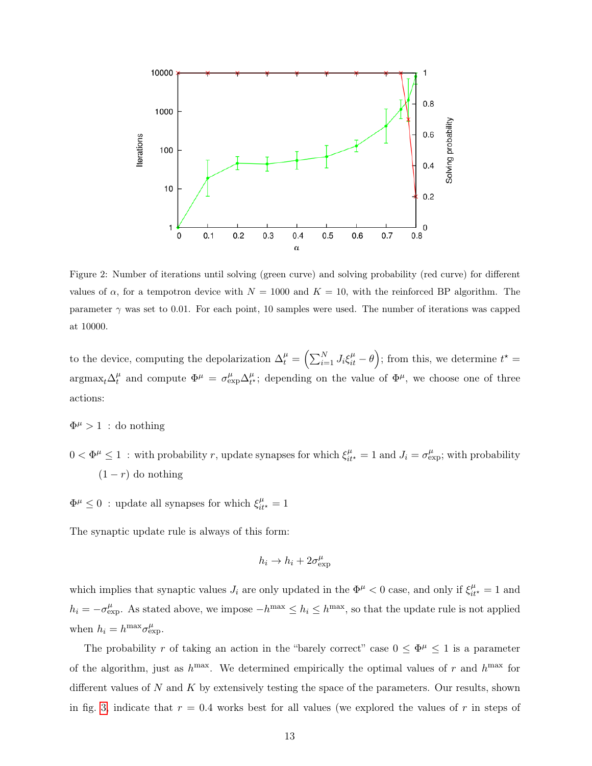

Figure 2: Number of iterations until solving (green curve) and solving probability (red curve) for different values of  $\alpha$ , for a tempotron device with  $N = 1000$  and  $K = 10$ , with the reinforced BP algorithm. The parameter  $\gamma$  was set to 0.01. For each point, 10 samples were used. The number of iterations was capped at 10000.

to the device, computing the depolarization  $\Delta_t^{\mu} = \left(\sum_{i=1}^{N} J_i \xi_{it}^{\mu} - \theta\right)$ ; from this, we determine  $t^* =$  $\arg\max_t \Delta_t^{\mu}$  $t^{\mu}$  and compute  $\Phi^{\mu} = \sigma_{\exp}^{\mu} \Delta_{t^{\prime}}^{\mu}$  $t^{\mu}_{t}$ ; depending on the value of  $\Phi^{\mu}$ , we choose one of three actions:

 $\Phi^{\mu} > 1$ : do nothing

 $0 < \Phi^{\mu} \leq 1$ : with probability r, update synapses for which  $\xi_{it}^{\mu} = 1$  and  $J_i = \sigma_{\exp}^{\mu}$ ; with probability  $(1 - r)$  do nothing

 $\Phi^\mu \leq 0$ : update all synapses for which  $\xi^\mu_{it^\star} = 1$ 

The synaptic update rule is always of this form:

$$
h_i \to h_i + 2\sigma_{\exp}^{\mu}
$$

which implies that synaptic values  $J_i$  are only updated in the  $\Phi^{\mu} < 0$  case, and only if  $\xi_{it^*}^{\mu} = 1$  and  $h_i = -\sigma_{\rm exp}^{\mu}$ . As stated above, we impose  $-h^{\rm max} \leq h_i \leq h^{\rm max}$ , so that the update rule is not applied when  $h_i = h^{\max} \sigma_{\exp}^{\mu}$ .

The probability r of taking an action in the "barely correct" case  $0 \leq \Phi^{\mu} \leq 1$  is a parameter of the algorithm, just as  $h^{\text{max}}$ . We determined empirically the optimal values of r and  $h^{\text{max}}$  for different values of  $N$  and  $K$  by extensively testing the space of the parameters. Our results, shown in fig. 3, indicate that  $r = 0.4$  works best for all values (we explored the values of r in steps of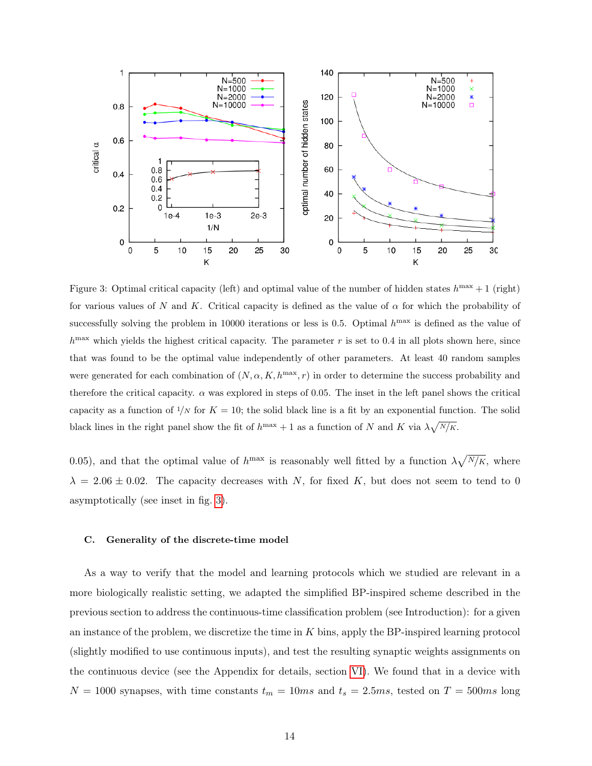

Figure 3: Optimal critical capacity (left) and optimal value of the number of hidden states  $h^{\text{max}} + 1$  (right) for various values of N and K. Critical capacity is defined as the value of  $\alpha$  for which the probability of successfully solving the problem in 10000 iterations or less is 0.5. Optimal  $h^{\text{max}}$  is defined as the value of  $h^{\text{max}}$  which yields the highest critical capacity. The parameter r is set to 0.4 in all plots shown here, since that was found to be the optimal value independently of other parameters. At least 40 random samples were generated for each combination of  $(N, \alpha, K, h^{\text{max}}, r)$  in order to determine the success probability and therefore the critical capacity.  $\alpha$  was explored in steps of 0.05. The inset in the left panel shows the critical capacity as a function of  $1/N$  for  $K = 10$ ; the solid black line is a fit by an exponential function. The solid black lines in the right panel show the fit of  $h^{\max} + 1$  as a function of N and K via  $\lambda \sqrt{N/k}$ .

0.05), and that the optimal value of  $h^{\text{max}}$  is reasonably well fitted by a function  $\lambda \sqrt{N/k}$ , where  $\lambda = 2.06 \pm 0.02$ . The capacity decreases with N, for fixed K, but does not seem to tend to 0 asymptotically (see inset in fig. 3).

#### C. Generality of the discrete-time model

As a way to verify that the model and learning protocols which we studied are relevant in a more biologically realistic setting, we adapted the simplified BP-inspired scheme described in the previous section to address the continuous-time classification problem (see Introduction): for a given an instance of the problem, we discretize the time in K bins, apply the BP-inspired learning protocol (slightly modified to use continuous inputs), and test the resulting synaptic weights assignments on the continuous device (see the Appendix for details, section VI). We found that in a device with  $N = 1000$  synapses, with time constants  $t_m = 10ms$  and  $t_s = 2.5ms$ , tested on  $T = 500ms$  long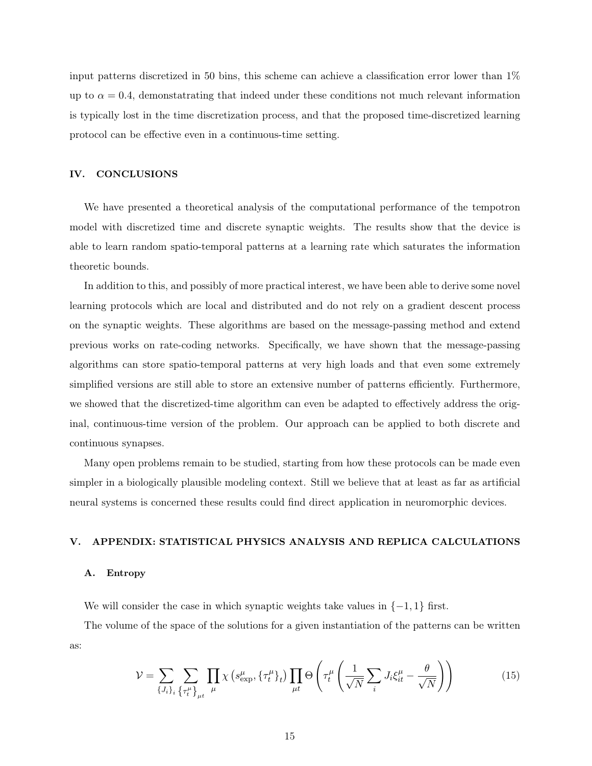input patterns discretized in 50 bins, this scheme can achieve a classification error lower than 1% up to  $\alpha = 0.4$ , demonstatrating that indeed under these conditions not much relevant information is typically lost in the time discretization process, and that the proposed time-discretized learning protocol can be effective even in a continuous-time setting.

## IV. CONCLUSIONS

We have presented a theoretical analysis of the computational performance of the tempotron model with discretized time and discrete synaptic weights. The results show that the device is able to learn random spatio-temporal patterns at a learning rate which saturates the information theoretic bounds.

In addition to this, and possibly of more practical interest, we have been able to derive some novel learning protocols which are local and distributed and do not rely on a gradient descent process on the synaptic weights. These algorithms are based on the message-passing method and extend previous works on rate-coding networks. Specifically, we have shown that the message-passing algorithms can store spatio-temporal patterns at very high loads and that even some extremely simplified versions are still able to store an extensive number of patterns efficiently. Furthermore, we showed that the discretized-time algorithm can even be adapted to effectively address the original, continuous-time version of the problem. Our approach can be applied to both discrete and continuous synapses.

Many open problems remain to be studied, starting from how these protocols can be made even simpler in a biologically plausible modeling context. Still we believe that at least as far as artificial neural systems is concerned these results could find direct application in neuromorphic devices.

## V. APPENDIX: STATISTICAL PHYSICS ANALYSIS AND REPLICA CALCULATIONS

## A. Entropy

We will consider the case in which synaptic weights take values in  $\{-1, 1\}$  first.

The volume of the space of the solutions for a given instantiation of the patterns can be written as:

$$
\mathcal{V} = \sum_{\{J_i\}_i} \sum_{\{\tau_i^{\mu}\}_\mu} \prod_{\mu} \chi\left(s_{\text{exp}}^{\mu}, \{\tau_t^{\mu}\}_t\right) \prod_{\mu t} \Theta\left(\tau_t^{\mu} \left(\frac{1}{\sqrt{N}} \sum_i J_i \xi_{it}^{\mu} - \frac{\theta}{\sqrt{N}}\right)\right)
$$
(15)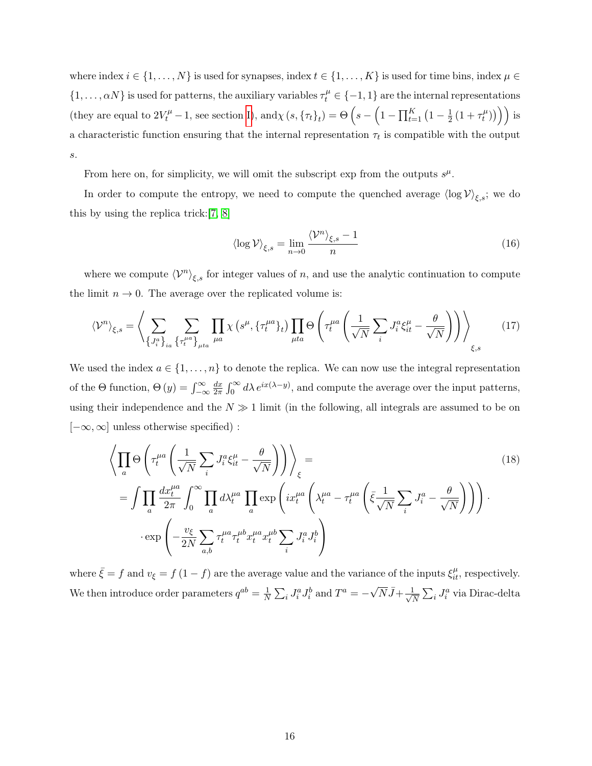where index  $i \in \{1, \ldots, N\}$  is used for synapses, index  $t \in \{1, \ldots, K\}$  is used for time bins, index  $\mu \in$  $\{1,\ldots,\alpha N\}$  is used for patterns, the auxiliary variables  $\tau_t^{\mu} \in \{-1,1\}$  are the internal representations (they are equal to  $2V_t^{\mu} - 1$ , see section I), and  $\chi(s, \{\tau_t\}_t) = \Theta\left(s - \left(1 - \prod_{t=1}^K (1 - \frac{1}{2})\right)\right)$  $\frac{1}{2} (1 + \tau_t^{\mu})$  $\binom{\mu}{t})\big)\bigg)$  is a characteristic function ensuring that the internal representation  $\tau_t$  is compatible with the output s.

From here on, for simplicity, we will omit the subscript exp from the outputs  $s^{\mu}$ .

In order to compute the entropy, we need to compute the quenched average  $\langle \log V \rangle_{\xi,s}$ ; we do this by using the replica trick:[7, 8]

$$
\langle \log \mathcal{V} \rangle_{\xi,s} = \lim_{n \to 0} \frac{\langle \mathcal{V}^n \rangle_{\xi,s} - 1}{n} \tag{16}
$$

where we compute  $\langle \mathcal{V}^n \rangle_{\xi,s}$  for integer values of n, and use the analytic continuation to compute the limit  $n \to 0$ . The average over the replicated volume is:

$$
\langle \mathcal{V}^n \rangle_{\xi,s} = \left\langle \sum_{\{J_i^a\}_{ia}} \sum_{\{\tau_t^{\mu a}\}_{\mu t}} \prod_{\mu a} \chi\left(s^{\mu}, \{\tau_t^{\mu a}\}_t\right) \prod_{\mu t a} \Theta \left(\tau_t^{\mu a} \left(\frac{1}{\sqrt{N}} \sum_i J_i^a \xi_{it}^{\mu} - \frac{\theta}{\sqrt{N}}\right)\right) \right\rangle_{\xi,s} \tag{17}
$$

We used the index  $a \in \{1, \ldots, n\}$  to denote the replica. We can now use the integral representation of the  $\Theta$  function,  $\Theta(y) = \int_{-\infty}^{\infty}$  $dx$  $\frac{dx}{2\pi} \int_0^\infty d\lambda \, e^{ix(\lambda - y)}$ , and compute the average over the input patterns, using their independence and the  $N \gg 1$  limit (in the following, all integrals are assumed to be on  $[-\infty, \infty]$  unless otherwise specified) :

$$
\left\langle \prod_{a} \Theta \left( \tau_t^{\mu a} \left( \frac{1}{\sqrt{N}} \sum_{i} J_i^a \xi_{it}^{\mu} - \frac{\theta}{\sqrt{N}} \right) \right) \right\rangle_{\xi} =
$$
\n
$$
= \int \prod_{a} \frac{dx_t^{\mu a}}{2\pi} \int_0^{\infty} \prod_{a} d\lambda_t^{\mu a} \prod_{a} \exp \left( ix_t^{\mu a} \left( \lambda_t^{\mu a} - \tau_t^{\mu a} \left( \bar{\xi} \frac{1}{\sqrt{N}} \sum_{i} J_i^a - \frac{\theta}{\sqrt{N}} \right) \right) \right) \cdot \exp \left( -\frac{v_{\xi}}{2N} \sum_{a,b} \tau_t^{\mu a} \tau_t^{\mu b} x_t^{\mu a} x_t^{\mu b} \sum_{i} J_i^a J_i^b \right)
$$
\n(18)

where  $\bar{\xi} = f$  and  $v_{\xi} = f(1-f)$  are the average value and the variance of the inputs  $\xi_{it}^{\mu}$ , respectively. We then introduce order parameters  $q^{ab} = \frac{1}{N}$  $\frac{1}{N} \sum_i J_i^a J_i^b$  and  $T^a = -\sqrt{N} \bar{J} + \frac{1}{\sqrt{N}}$  $\frac{1}{N} \sum_i J_i^a$  via Dirac-delta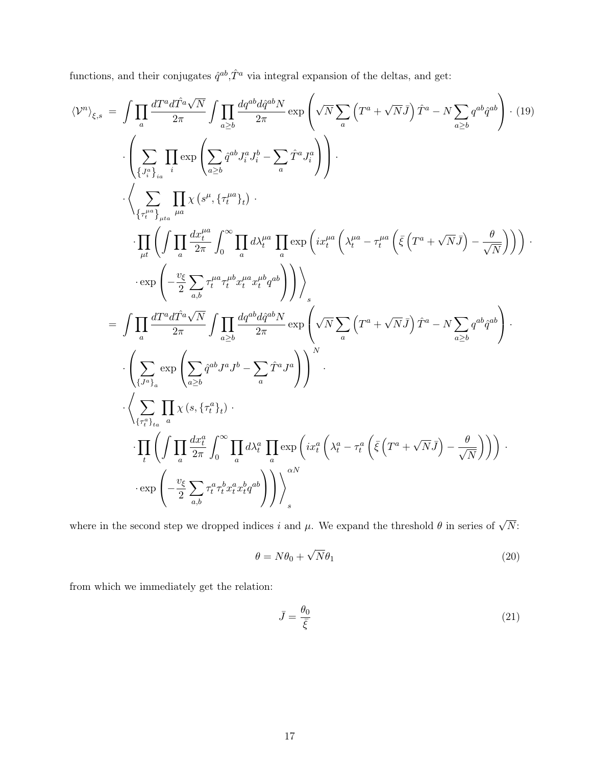functions, and their conjugates  $\hat{q}^{ab}$ ,  $\hat{T}^a$  via integral expansion of the deltas, and get:

$$
\langle V^{n}\rangle_{\xi,s} = \int \prod_{a} \frac{dT^{a}dT^{a}\sqrt{N}}{2\pi} \int \prod_{a\geq b} \frac{dq^{ab}d\hat{q}^{ab}N}{2\pi} \exp\left(\sqrt{N}\sum_{a} \left(T^{a} + \sqrt{N}\bar{J}\right)\hat{T}^{a} - N\sum_{a\geq b} q^{ab}\hat{q}^{ab}\right) \cdot (19)
$$
  

$$
\cdot \left(\sum_{\{J_{i}^{n}\}_{ia}} \prod_{i} \exp\left(\sum_{a\geq b} \hat{q}^{ab}J_{i}^{a}J_{i}^{b} - \sum_{a} \hat{T}^{a}J_{i}^{a}\right)\right).
$$
  

$$
\cdot \left(\sum_{\{J_{i}^{n}\}_{ita}} \prod_{\mu a} \chi\left(s^{\mu}, \{\tau_{i}^{\mu a}\}_{i}\right).
$$
  

$$
\cdot \prod_{\mu t} \left(\int \prod_{a} \frac{dx_{i}^{\mu a}}{2\pi} \int_{0}^{\infty} \prod_{a} d\lambda_{t}^{\mu a} \prod_{a} \exp\left(i x_{t}^{\mu a} \left(\lambda_{t}^{\mu a} - \tau_{t}^{\mu a} \left(\bar{\xi}\left(T^{a} + \sqrt{N}\bar{J}\right) - \frac{\theta}{\sqrt{N}}\right)\right)\right) \cdot \exp\left(-\frac{v_{\xi}}{2} \sum_{a,b} \tau_{t}^{\mu a} \tau_{t}^{\mu}x_{i}^{\mu a}x_{i}^{\mu b}q^{ab}\right)\right)\right) \right) \cdot \exp\left(-\frac{v_{\xi}}{2} \sum_{a,b} \tau_{t}^{\mu a} \tau_{t}^{\mu}x_{i}^{\mu}x_{i}^{\mu a}q_{b}^{b}\right)\right) \right) \cdot \left(\sum_{\{J^{n}\}_{a} \in \mathbb{Z}} \exp\left(\sum_{a\geq b} \hat{T}^{a}J^{a}J^{a}\right)\right) \cdot \left(\sum_{\{J^{n}\}_{a} \in \mathbb{Z}} \exp\left(\sum_{a\geq b} \hat{T}^{ab}J^{a}J^{a}\right)\right)^{N} \cdot \left(\sum_{\{J^{n}\}_{a} \in \mathbb{Z}} \prod_{a} \chi\left(s, \{\tau_{t}^{a}\}_{i}\right).
$$
  

where in the second step we dropped indices i and  $\mu$ . We expand the threshold  $\theta$  in series of  $\sqrt{N}$ :

$$
\theta = N\theta_0 + \sqrt{N}\theta_1 \tag{20}
$$

from which we immediately get the relation:

$$
\bar{J} = \frac{\theta_0}{\bar{\xi}}\tag{21}
$$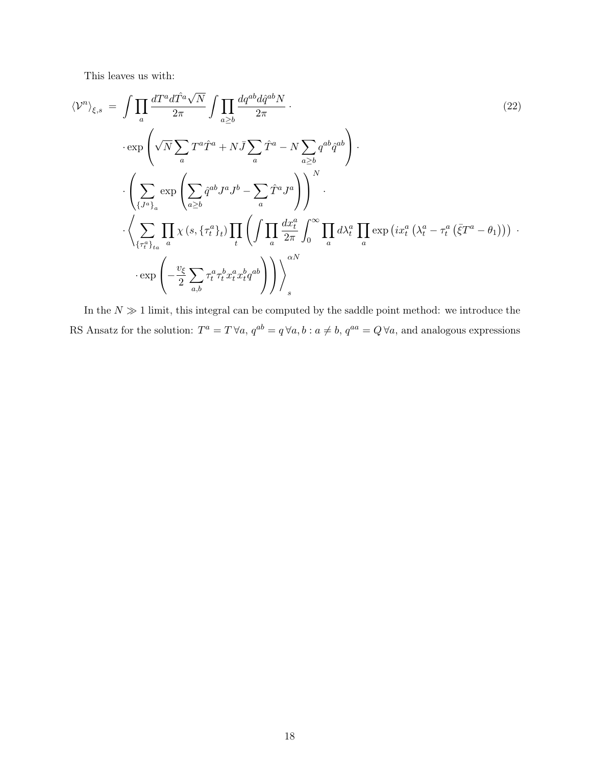This leaves us with:

$$
\langle \mathcal{V}^{n} \rangle_{\xi,s} = \int \prod_{a} \frac{dT^{a} d\hat{T}^{a} \sqrt{N}}{2\pi} \int \prod_{a \geq b} \frac{dq^{ab} d\hat{q}^{ab} N}{2\pi} \cdot \exp\left(\sqrt{N} \sum_{a} T^{a} \hat{T}^{a} + N \bar{J} \sum_{a} \hat{T}^{a} - N \sum_{a \geq b} q^{ab} \hat{q}^{ab}\right) \cdot \left(\sum_{\{J^{a}\}_{a}} \exp\left(\sum_{a \geq b} \hat{q}^{ab} J^{a} J^{b} - \sum_{a} \hat{T}^{a} J^{a}\right)\right)^{N} \cdot \left(\sum_{\{\tau^{a}\}_{a}} \prod_{a} \chi\left(s, \{\tau^{a}\}_{t}\}\right) \prod_{t} \left(\int \prod_{a} \frac{dx_{t}^{a}}{2\pi} \int_{0}^{\infty} \prod_{a} d\lambda_{t}^{a} \prod_{a} \exp\left(ix_{t}^{a} \left(\lambda_{t}^{a} - \tau_{t}^{a} \left(\bar{\xi} T^{a} - \theta_{1}\right)\right)\right) \cdot \exp\left(-\frac{v_{\xi}}{2} \sum_{a,b} \tau_{t}^{a} \tau_{t}^{b} x_{t}^{a} x_{t}^{b} q^{ab}\right)\right)\right)^{\alpha N}
$$

In the  $N \gg 1$  limit, this integral can be computed by the saddle point method: we introduce the RS Ansatz for the solution:  $T^a = T \forall a, q^{ab} = q \forall a, b : a \neq b, q^{aa} = Q \forall a$ , and analogous expressions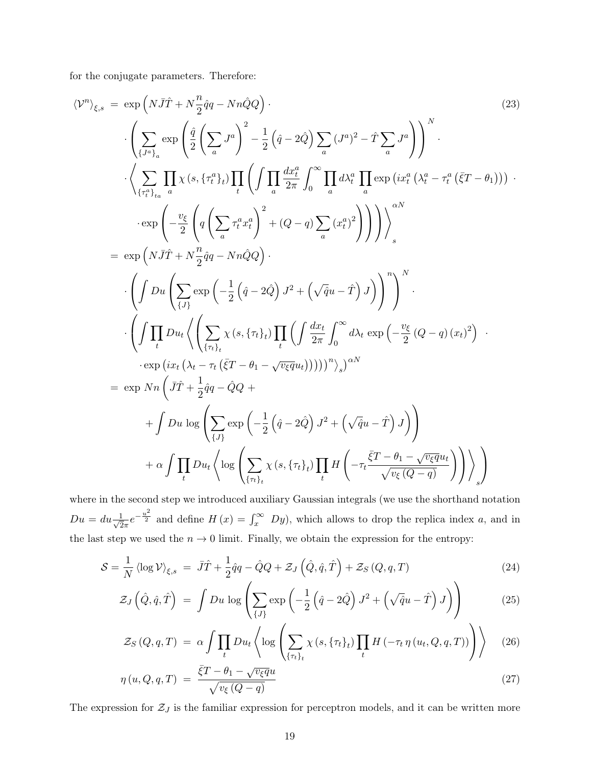for the conjugate parameters. Therefore:

hV<sup>n</sup> i ξ,s = exp NJ¯Tˆ + N n 2 qqˆ − NnQQˆ · (23) · X {Ja}<sup>a</sup> exp qˆ 2 X a J a !2 − 1 2 qˆ− 2Qˆ X a (J a ) <sup>2</sup> − TˆX a J a N · · \* <sup>X</sup> {τ a t }ta Y a χ (s, {τ a <sup>t</sup> }<sup>t</sup> ) Y t <sup>ˆ</sup> <sup>Y</sup> a dx<sup>a</sup> t 2π ˆ <sup>∞</sup> 0 Y a dλ<sup>a</sup> t Y a exp ix<sup>a</sup> t λ a <sup>t</sup> − τ a t ¯ξT − θ<sup>1</sup> · · exp <sup>−</sup> vξ 2 q X a τ a t x a t !2 + (Q − q) X a (x a t ) 2 + αN s = exp NJ¯Tˆ + N n 2 qqˆ − NnQQˆ · · ˆ Du X {J} exp − 1 2 qˆ− 2Qˆ J <sup>2</sup> + p quˆ − Tˆ J <sup>n</sup> N · · ˆ Y t Du<sup>t</sup> \* X {τt}<sup>t</sup> χ (s, {τt}<sup>t</sup> ) Y t ˆ dx<sup>t</sup> 2π ˆ <sup>∞</sup> 0 dλ<sup>t</sup> exp − vξ 2 (Q − q) (xt) 2 · · exp ix<sup>t</sup> λ<sup>t</sup> − τ<sup>t</sup> ¯ξT − θ<sup>1</sup> − <sup>√</sup>vξqu<sup>t</sup> <sup>n</sup> s αN = exp Nn J¯Tˆ + 1 2 qqˆ − QQˆ + + ˆ Du log X {J} exp − 1 2 qˆ− 2Qˆ J <sup>2</sup> + p quˆ − Tˆ J + α ˆ Y t Du<sup>t</sup> \* log X {τt}<sup>t</sup> χ (s, {τt}<sup>t</sup> ) Y t H −τ<sup>t</sup> ¯ξT − θ<sup>1</sup> − <sup>√</sup>vξqu<sup>t</sup> p v<sup>ξ</sup> (Q − q) ! + s 

where in the second step we introduced auxiliary Gaussian integrals (we use the shorthand notation  $Du = du \frac{1}{\sqrt{2}}$  $\frac{1}{2\pi}e^{-\frac{u^2}{2}}$  and define  $H(x) = \int_x^{\infty} Dy$ , which allows to drop the replica index a, and in the last step we used the  $n \to 0$  limit. Finally, we obtain the expression for the entropy:

$$
S = \frac{1}{N} \langle \log \mathcal{V} \rangle_{\xi,s} = \bar{J}\hat{T} + \frac{1}{2}\hat{q}q - \hat{Q}Q + \mathcal{Z}_J\left(\hat{Q},\hat{q},\hat{T}\right) + \mathcal{Z}_S\left(Q,q,T\right) \tag{24}
$$

$$
\mathcal{Z}_J\left(\hat{Q},\hat{q},\hat{T}\right) \ = \ \int Du \, \log \left( \sum_{\{J\}} \exp\left(-\frac{1}{2}\left(\hat{q}-2\hat{Q}\right)J^2+\left(\sqrt{\hat{q}}u-\hat{T}\right)J\right) \right) \tag{25}
$$

$$
\mathcal{Z}_S\left(Q, q, T\right) \ = \ \alpha \int \prod_t D u_t \left\langle \log \left( \sum_{\{\tau_t\}_t} \chi\left(s, \{\tau_t\}_t\} \prod_t H\left(-\tau_t \, \eta\left(u_t, Q, q, T\right)\right) \right) \right\rangle \tag{26}
$$

$$
\eta(u, Q, q, T) = \frac{\bar{\xi}T - \theta_1 - \sqrt{v_{\xi}q}u}{\sqrt{v_{\xi}(Q - q)}}
$$
\n(27)

The expression for  $\mathcal{Z}_J$  is the familiar expression for perceptron models, and it can be written more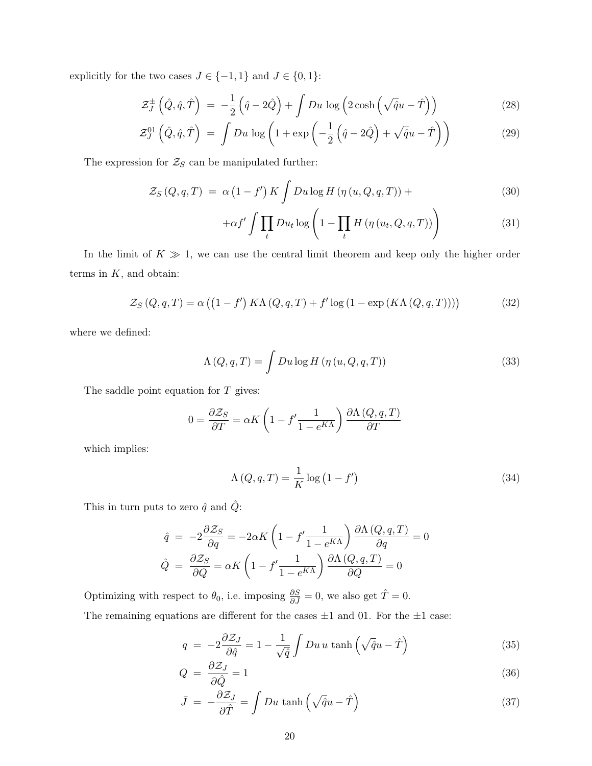explicitly for the two cases  $J \in \{-1,1\}$  and  $J \in \{0,1\}$ 

$$
\mathcal{Z}_{J}^{\pm}\left(\hat{Q},\hat{q},\hat{T}\right) = -\frac{1}{2}\left(\hat{q}-2\hat{Q}\right) + \int Du \, \log\left(2\cosh\left(\sqrt{\hat{q}}u-\hat{T}\right)\right) \tag{28}
$$

$$
\mathcal{Z}_J^{01}\left(\hat{Q},\hat{q},\hat{T}\right) = \int Du \, \log\left(1 + \exp\left(-\frac{1}{2}\left(\hat{q} - 2\hat{Q}\right) + \sqrt{\hat{q}}u - \hat{T}\right)\right) \tag{29}
$$

The expression for  $\mathcal{Z}_S$  can be manipulated further:

$$
\mathcal{Z}_S(Q,q,T) = \alpha \left(1 - f'\right) K \int Du \log H \left(\eta \left(u, Q, q, T\right)\right) + \tag{30}
$$

$$
+\alpha f' \int \prod_t Du_t \log \left(1 - \prod_t H\left(\eta\left(u_t, Q, q, T\right)\right)\right) \tag{31}
$$

In the limit of  $K \gg 1$ , we can use the central limit theorem and keep only the higher order terms in  $K$ , and obtain:

$$
\mathcal{Z}_S(Q,q,T) = \alpha \left( \left( 1 - f' \right) K \Lambda(Q,q,T) + f' \log \left( 1 - \exp \left( K \Lambda(Q,q,T) \right) \right) \right) \tag{32}
$$

where we defined:

$$
\Lambda(Q, q, T) = \int Du \log H(\eta(u, Q, q, T)) \tag{33}
$$

The saddle point equation for  $T$  gives:

$$
0 = \frac{\partial Z_S}{\partial T} = \alpha K \left( 1 - f' \frac{1}{1 - e^{K\Lambda}} \right) \frac{\partial \Lambda (Q, q, T)}{\partial T}
$$

which implies:

$$
\Lambda(Q, q, T) = \frac{1}{K} \log (1 - f')
$$
\n(34)

This in turn puts to zero  $\hat{q}$  and  $\hat{Q}$ :

$$
\hat{q} = -2\frac{\partial Z_S}{\partial q} = -2\alpha K \left(1 - f' \frac{1}{1 - e^{K\Lambda}}\right) \frac{\partial \Lambda (Q, q, T)}{\partial q} = 0
$$

$$
\hat{Q} = \frac{\partial Z_S}{\partial Q} = \alpha K \left(1 - f' \frac{1}{1 - e^{K\Lambda}}\right) \frac{\partial \Lambda (Q, q, T)}{\partial Q} = 0
$$

Optimizing with respect to  $\theta_0$ , i.e. imposing  $\frac{\partial S}{\partial \bar{J}} = 0$ , we also get  $\hat{T} = 0$ .

The remaining equations are different for the cases  $\pm 1$  and 01. For the  $\pm 1$  case:

$$
q = -2\frac{\partial \mathcal{Z}_J}{\partial \hat{q}} = 1 - \frac{1}{\sqrt{\hat{q}}} \int Du u \tanh\left(\sqrt{\hat{q}}u - \hat{T}\right)
$$
(35)

$$
Q = \frac{\partial \mathcal{Z}_J}{\partial \hat{Q}} = 1\tag{36}
$$

$$
\bar{J} = -\frac{\partial \mathcal{Z}_J}{\partial \hat{T}} = \int Du \, \tanh\left(\sqrt{\hat{q}}u - \hat{T}\right) \tag{37}
$$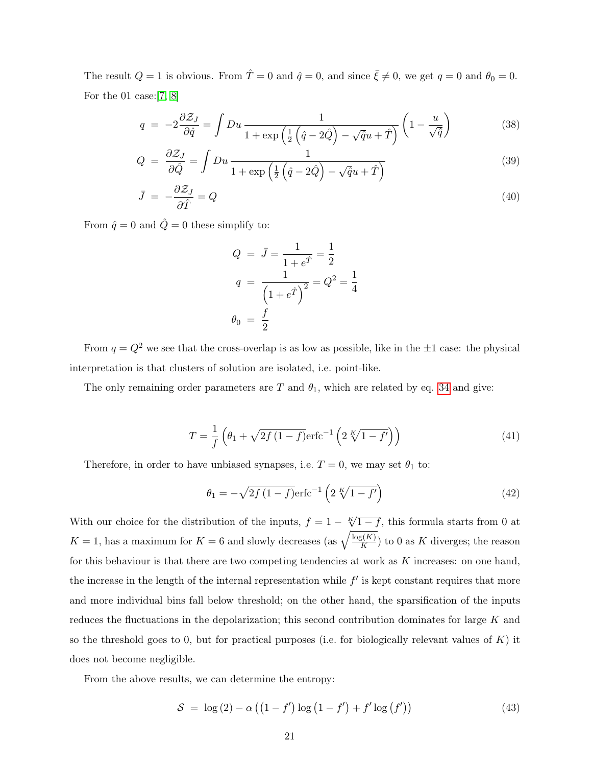The result  $Q = 1$  is obvious. From  $\hat{T} = 0$  and  $\hat{q} = 0$ , and since  $\bar{\xi} \neq 0$ , we get  $q = 0$  and  $\theta_0 = 0$ . For the 01 case:[7, 8]

$$
q = -2\frac{\partial \mathcal{Z}_J}{\partial \hat{q}} = \int Du \frac{1}{1 + \exp\left(\frac{1}{2}\left(\hat{q} - 2\hat{Q}\right) - \sqrt{\hat{q}}u + \hat{T}\right)} \left(1 - \frac{u}{\sqrt{\hat{q}}}\right)
$$
(38)

$$
Q = \frac{\partial \mathcal{Z}_J}{\partial \hat{Q}} = \int Du \frac{1}{1 + \exp\left(\frac{1}{2}\left(\hat{q} - 2\hat{Q}\right) - \sqrt{\hat{q}}u + \hat{T}\right)}\tag{39}
$$

$$
\bar{J} = -\frac{\partial \mathcal{Z}_J}{\partial \hat{T}} = Q \tag{40}
$$

From  $\hat{q} = 0$  and  $\hat{Q} = 0$  these simplify to:

$$
Q = \bar{J} = \frac{1}{1 + e^{\hat{T}}} = \frac{1}{2}
$$
  

$$
q = \frac{1}{\left(1 + e^{\hat{T}}\right)^2} = Q^2 = \frac{1}{4}
$$
  

$$
\theta_0 = \frac{f}{2}
$$

From  $q = Q^2$  we see that the cross-overlap is as low as possible, like in the  $\pm 1$  case: the physical interpretation is that clusters of solution are isolated, i.e. point-like.

The only remaining order parameters are T and  $\theta_1$ , which are related by eq. 34 and give:

$$
T = \frac{1}{f} \left( \theta_1 + \sqrt{2f(1-f)} \text{erfc}^{-1} \left( 2 \sqrt[K]{1-f'} \right) \right)
$$
(41)

Therefore, in order to have unbiased synapses, i.e.  $T = 0$ , we may set  $\theta_1$  to:

$$
\theta_1 = -\sqrt{2f(1-f)} \text{erfc}^{-1} \left( 2 \sqrt[K]{1-f'} \right) \tag{42}
$$

With our choice for the distribution of the inputs,  $f = 1 - \sqrt{1 - f}$ , this formula starts from 0 at  $K = 1$ , has a maximum for  $K = 6$  and slowly decreases (as  $\sqrt{\frac{\log(K)}{K}}$  $\frac{K(K)}{K}$  to 0 as K diverges; the reason for this behaviour is that there are two competing tendencies at work as  $K$  increases: on one hand, the increase in the length of the internal representation while  $f'$  is kept constant requires that more and more individual bins fall below threshold; on the other hand, the sparsification of the inputs reduces the fluctuations in the depolarization; this second contribution dominates for large K and so the threshold goes to 0, but for practical purposes (i.e. for biologically relevant values of  $K$ ) it does not become negligible.

From the above results, we can determine the entropy:

$$
S = \log(2) - \alpha \left( \left( 1 - f' \right) \log \left( 1 - f' \right) + f' \log \left( f' \right) \right) \tag{43}
$$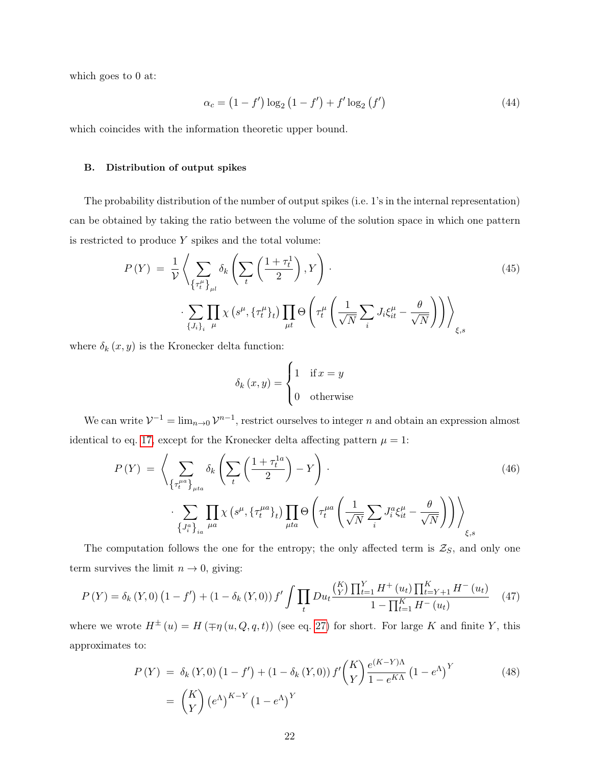which goes to 0 at:

$$
\alpha_c = (1 - f') \log_2 (1 - f') + f' \log_2 (f')
$$
\n(44)

which coincides with the information theoretic upper bound.

#### B. Distribution of output spikes

The probability distribution of the number of output spikes (i.e. 1's in the internal representation) can be obtained by taking the ratio between the volume of the solution space in which one pattern is restricted to produce  $Y$  spikes and the total volume:

$$
P(Y) = \frac{1}{\mathcal{V}} \left\langle \sum_{\{\tau_t^{\mu}\}_{\mu l}} \delta_k \left( \sum_t \left( \frac{1 + \tau_t^1}{2} \right), Y \right) \right. \cdot \left. \sum_{\{J_i\}_i \mu} \prod_{\mu} \chi \left( s^{\mu}, \{\tau_t^{\mu}\}_t \right) \prod_{\mu t} \Theta \left( \tau_t^{\mu} \left( \frac{1}{\sqrt{N}} \sum_i J_i \xi_{it}^{\mu} - \frac{\theta}{\sqrt{N}} \right) \right) \right\rangle_{\xi, s} \tag{45}
$$

where  $\delta_k(x, y)$  is the Kronecker delta function:

$$
\delta_k(x, y) = \begin{cases} 1 & \text{if } x = y \\ 0 & \text{otherwise} \end{cases}
$$

We can write  $V^{-1} = \lim_{n\to 0} V^{n-1}$ , restrict ourselves to integer n and obtain an expression almost identical to eq. 17, except for the Kronecker delta affecting pattern  $\mu = 1$ :

$$
P(Y) = \left\langle \sum_{\{\tau_t^{\mu a}\}_{\mu t_a}} \delta_k \left( \sum_t \left( \frac{1 + \tau_t^{1a}}{2} \right) - Y \right) \right. \tag{46}
$$
\n
$$
\cdot \sum_{\{J_i^a\}_{ia}} \prod_{\mu a} \chi \left( s^{\mu}, \{\tau_t^{\mu a}\}_t \right) \prod_{\mu t_a} \Theta \left( \tau_t^{\mu a} \left( \frac{1}{\sqrt{N}} \sum_i J_i^a \xi_{it}^{\mu} - \frac{\theta}{\sqrt{N}} \right) \right) \right\rangle_{\xi, s}
$$

The computation follows the one for the entropy; the only affected term is  $\mathcal{Z}_S$ , and only one term survives the limit  $n \to 0$ , giving:

$$
P(Y) = \delta_k(Y,0) \left(1 - f'\right) + \left(1 - \delta_k(Y,0)\right) f' \int \prod_t Du_t \frac{\binom{K}{Y} \prod_{t=1}^Y H^+(u_t) \prod_{t=Y+1}^K H^-(u_t)}{1 - \prod_{t=1}^K H^-(u_t)} \tag{47}
$$

where we wrote  $H^{\pm}(u) = H(\mp \eta(u, Q, q, t))$  (see eq. 27) for short. For large K and finite Y, this approximates to:

$$
P(Y) = \delta_k(Y,0) (1 - f') + (1 - \delta_k(Y,0)) f' \binom{K}{Y} \frac{e^{(K-Y)\Lambda}}{1 - e^{K\Lambda}} (1 - e^{\Lambda})^Y
$$
(48)  
=  $\binom{K}{Y} (e^{\Lambda})^{K-Y} (1 - e^{\Lambda})^Y$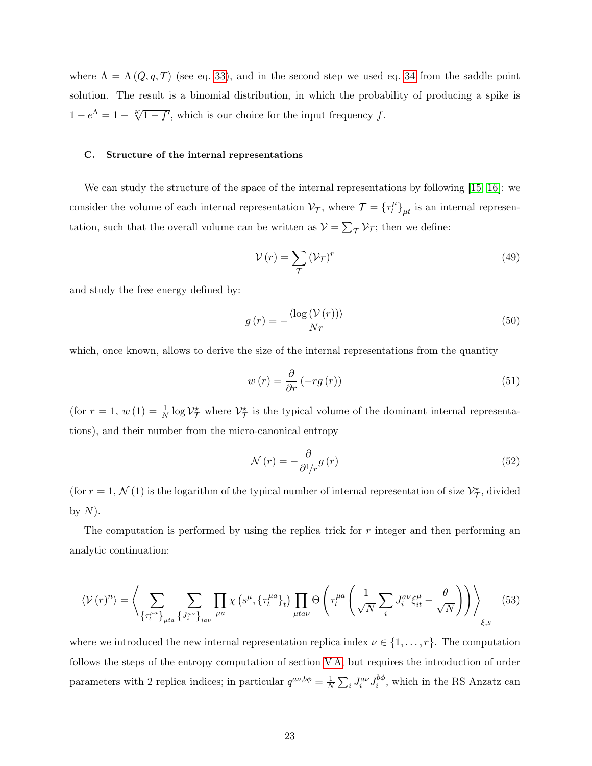where  $\Lambda = \Lambda(Q, q, T)$  (see eq. 33), and in the second step we used eq. 34 from the saddle point solution. The result is a binomial distribution, in which the probability of producing a spike is  $1 - e^{\Lambda} = 1 - \sqrt[K]{1 - f'}$ , which is our choice for the input frequency f.

#### C. Structure of the internal representations

We can study the structure of the space of the internal representations by following [15, 16]: we consider the volume of each internal representation  $\mathcal{V}_{\mathcal{T}}$ , where  $\mathcal{T} = \{ \tau_t^{\mu} \}$  $\left\{t^{\mu}\right\}_{\mu t}$  is an internal representation, such that the overall volume can be written as  $V = \sum_{\mathcal{T}} V_{\mathcal{T}}$ ; then we define:

$$
\mathcal{V}(r) = \sum_{\mathcal{T}} \left(\mathcal{V}_{\mathcal{T}}\right)^r \tag{49}
$$

and study the free energy defined by:

$$
g\left(r\right) = -\frac{\langle \log\left(V\left(r\right)\right) \rangle}{Nr} \tag{50}
$$

which, once known, allows to derive the size of the internal representations from the quantity

$$
w(r) = \frac{\partial}{\partial r} \left( -rg\left(r\right)\right) \tag{51}
$$

(for  $r = 1$ ,  $w(1) = \frac{1}{N} \log \mathcal{V}_{\mathcal{T}}^*$  where  $\mathcal{V}_{\mathcal{T}}^*$  is the typical volume of the dominant internal representations), and their number from the micro-canonical entropy

$$
\mathcal{N}(r) = -\frac{\partial}{\partial^1/r}g(r) \tag{52}
$$

(for  $r = 1, \mathcal{N}(1)$  is the logarithm of the typical number of internal representation of size  $\mathcal{V}_{\mathcal{T}}^{\star}$ , divided by  $N$ ).

The computation is performed by using the replica trick for r integer and then performing an analytic continuation:

$$
\langle V(r)^n \rangle = \left\langle \sum_{\{\tau_t^{\mu a}\}_{\mu t a}} \sum_{\{J_i^{a\nu}\}_{i a\nu}} \prod_{\mu a} \chi\left(s^{\mu}, \{\tau_t^{\mu a}\}_t\right) \prod_{\mu t a\nu} \Theta\left(\tau_t^{\mu a} \left(\frac{1}{\sqrt{N}} \sum_i J_i^{a\nu} \xi_{it}^{\mu} - \frac{\theta}{\sqrt{N}}\right)\right) \right\rangle_{\xi, s} \tag{53}
$$

where we introduced the new internal representation replica index  $\nu \in \{1, \ldots, r\}$ . The computation follows the steps of the entropy computation of section V A, but requires the introduction of order parameters with 2 replica indices; in particular  $q^{a\nu, b\phi} = \frac{1}{N}$  $\frac{1}{N}\sum_i J_i^{a\nu}J_i^{b\phi}$  $i^{o\phi}$ , which in the RS Anzatz can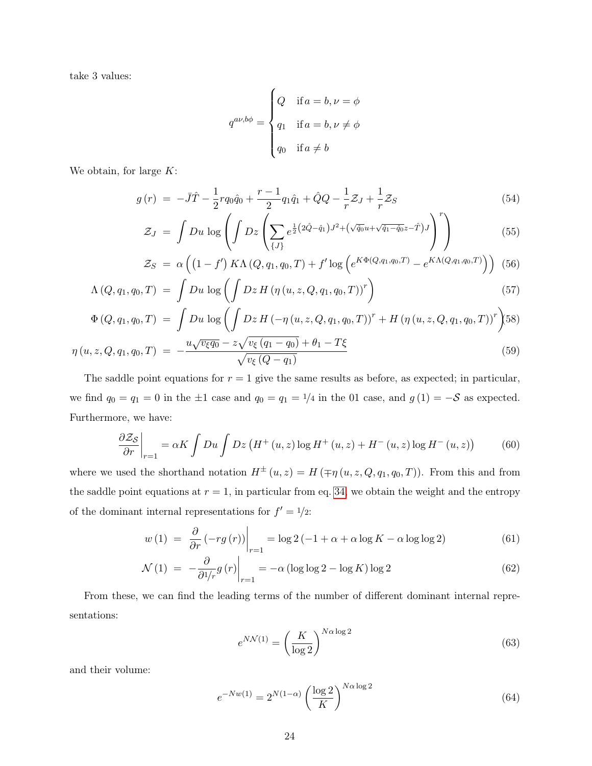take 3 values:

$$
q^{a\nu,b\phi} = \begin{cases} Q & \text{if } a = b, \nu = \phi \\ q_1 & \text{if } a = b, \nu \neq \phi \\ q_0 & \text{if } a \neq b \end{cases}
$$

We obtain, for large  $K$ :

$$
g(r) = -\bar{J}\hat{T} - \frac{1}{2}rq_0\hat{q}_0 + \frac{r-1}{2}q_1\hat{q}_1 + \hat{Q}Q - \frac{1}{r}\mathcal{Z}_J + \frac{1}{r}\mathcal{Z}_S
$$
\n<sup>(54)</sup>

$$
\mathcal{Z}_J = \int Du \, \log \left( \int Dz \left( \sum_{\{J\}} e^{\frac{1}{2} (2\hat{Q} - \hat{q}_1) J^2 + (\sqrt{\hat{q}_0} u + \sqrt{\hat{q}_1 - \hat{q}_0} z - \hat{T}) J} \right)^r \right) \tag{55}
$$

$$
\mathcal{Z}_S = \alpha \left( \left( 1 - f' \right) K \Lambda \left( Q, q_1, q_0, T \right) + f' \log \left( e^{K \Phi(Q, q_1, q_0, T)} - e^{K \Lambda(Q, q_1, q_0, T)} \right) \right) \tag{56}
$$

$$
\Lambda(Q, q_1, q_0, T) = \int Du \, \log \left( \int Dz \, H \left( \eta \left( u, z, Q, q_1, q_0, T \right) \right)^r \right) \tag{57}
$$

$$
\Phi(Q, q_1, q_0, T) = \int Du \log \left( \int Dz H \left( -\eta (u, z, Q, q_1, q_0, T) \right)^r + H \left( \eta (u, z, Q, q_1, q_0, T) \right)^r \right) \tag{58}
$$
\n
$$
u \sqrt{v_{\xi} q_0} - z \sqrt{v_{\xi} (q_1 - q_0)} + \theta_1 - T \xi
$$
\n
$$
(59)
$$

$$
\eta(u, z, Q, q_1, q_0, T) = -\frac{u\sqrt{v_{\xi}q_0 - z\sqrt{v_{\xi}(q_1 - q_0)} + \theta_1 - T_{\xi}}}{\sqrt{v_{\xi}(Q - q_1)}}
$$
(59)

The saddle point equations for  $r = 1$  give the same results as before, as expected; in particular, we find  $q_0 = q_1 = 0$  in the  $\pm 1$  case and  $q_0 = q_1 = 1/4$  in the 01 case, and  $g(1) = -S$  as expected. Furthermore, we have:

$$
\frac{\partial \mathcal{Z}_{\mathcal{S}}}{\partial r}\bigg|_{r=1} = \alpha K \int Du \int Dz \left( H^+(u,z) \log H^+(u,z) + H^-(u,z) \log H^-(u,z) \right) \tag{60}
$$

where we used the shorthand notation  $H^{\pm}(u, z) = H(\mp \eta(u, z, Q, q_1, q_0, T))$ . From this and from the saddle point equations at  $r = 1$ , in particular from eq. 34, we obtain the weight and the entropy of the dominant internal representations for  $f' = \frac{1}{2}$ :

$$
w(1) = \left. \frac{\partial}{\partial r} \left( -rg\left( r \right) \right) \right|_{r=1} = \log 2 \left( -1 + \alpha + \alpha \log K - \alpha \log \log 2 \right) \tag{61}
$$

$$
\mathcal{N}(1) = -\frac{\partial}{\partial^1/r} g(r) \bigg|_{r=1} = -\alpha \left( \log \log 2 - \log K \right) \log 2 \tag{62}
$$

From these, we can find the leading terms of the number of different dominant internal representations:

$$
e^{N\mathcal{N}(1)} = \left(\frac{K}{\log 2}\right)^{N\alpha \log 2} \tag{63}
$$

and their volume:

$$
e^{-Nw(1)} = 2^{N(1-\alpha)} \left(\frac{\log 2}{K}\right)^{N\alpha \log 2} \tag{64}
$$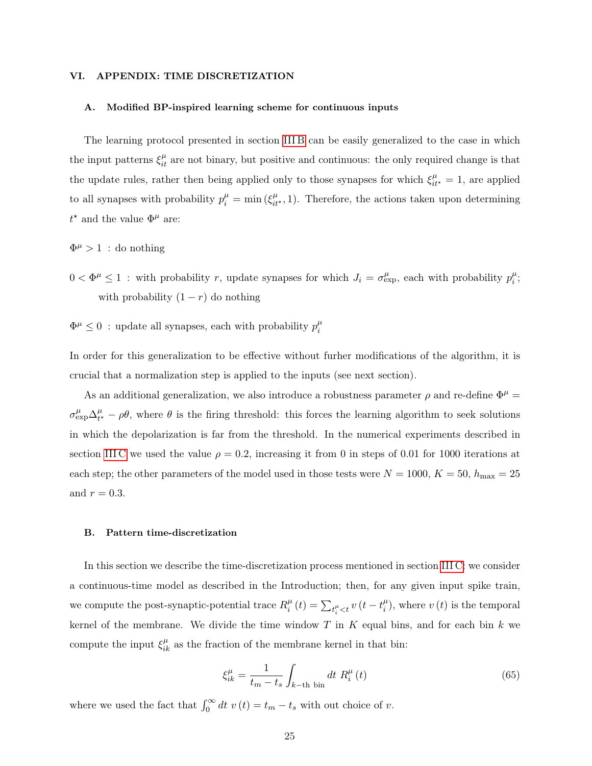#### VI. APPENDIX: TIME DISCRETIZATION

#### A. Modified BP-inspired learning scheme for continuous inputs

The learning protocol presented in section III B can be easily generalized to the case in which the input patterns  $\xi_{it}^{\mu}$  are not binary, but positive and continuous: the only required change is that the update rules, rather then being applied only to those synapses for which  $\xi_{it^*}^\mu = 1$ , are applied to all synapses with probability  $p_i^{\mu} = \min(\xi_{it^*}^{\mu}, 1)$ . Therefore, the actions taken upon determining  $t^*$  and the value  $\Phi^{\mu}$  are:

 $\Phi^{\mu} > 1$ : do nothing

- $0 < \Phi^{\mu} \leq 1$ : with probability r, update synapses for which  $J_i = \sigma_{\exp}^{\mu}$ , each with probability  $p_i^{\mu}$  $\frac{\mu}{i}$ ; with probability  $(1 - r)$  do nothing
- $\Phi^{\mu} \leq 0$ : update all synapses, each with probability  $p_i^{\mu}$ i

In order for this generalization to be effective without furher modifications of the algorithm, it is crucial that a normalization step is applied to the inputs (see next section).

As an additional generalization, we also introduce a robustness parameter  $\rho$  and re-define  $\Phi^{\mu}$  =  $\sigma^\mu_{\rm exp} \Delta^\mu_{t^\prime}$  $t_t^{\mu} - \rho \theta$ , where  $\theta$  is the firing threshold: this forces the learning algorithm to seek solutions in which the depolarization is far from the threshold. In the numerical experiments described in section III C we used the value  $\rho = 0.2$ , increasing it from 0 in steps of 0.01 for 1000 iterations at each step; the other parameters of the model used in those tests were  $N = 1000, K = 50, h_{\text{max}} = 25$ and  $r = 0.3$ .

#### B. Pattern time-discretization

In this section we describe the time-discretization process mentioned in section III C: we consider a continuous-time model as described in the Introduction; then, for any given input spike train, we compute the post-synaptic-potential trace  $R_i^{\mu}$  $\sum_{t_i^{\mu}}^{ \mu}(t) = \sum_{t_i^{\mu} < t} v(t - t_i^{\mu})$  $\binom{\mu}{i}$ , where  $v(t)$  is the temporal kernel of the membrane. We divide the time window  $T$  in  $K$  equal bins, and for each bin  $k$  we compute the input  $\xi_{ik}^{\mu}$  as the fraction of the membrane kernel in that bin:

$$
\xi_{ik}^{\mu} = \frac{1}{t_m - t_s} \int_{k-\text{th bin}} dt \ R_i^{\mu}(t) \tag{65}
$$

where we used the fact that  $\int_0^\infty dt \ v(t) = t_m - t_s$  with out choice of v.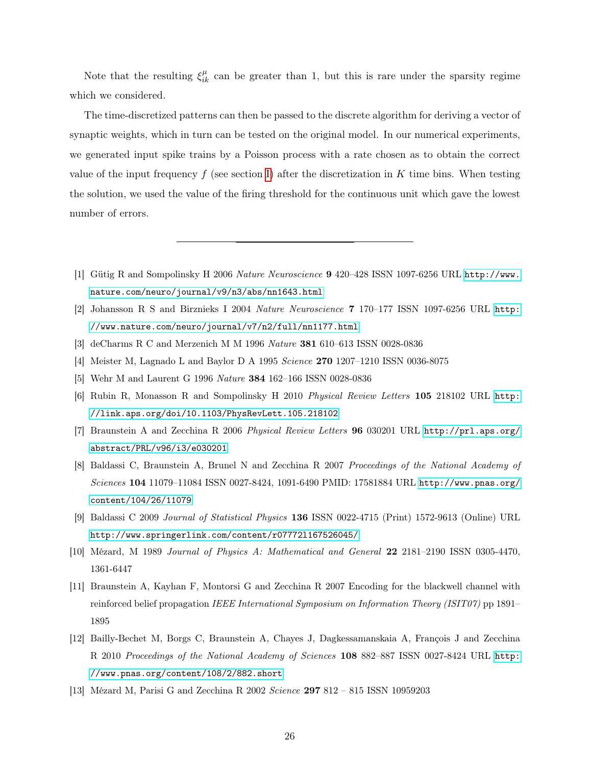Note that the resulting  $\xi_{ik}^{\mu}$  can be greater than 1, but this is rare under the sparsity regime which we considered.

The time-discretized patterns can then be passed to the discrete algorithm for deriving a vector of synaptic weights, which in turn can be tested on the original model. In our numerical experiments, we generated input spike trains by a Poisson process with a rate chosen as to obtain the correct value of the input frequency  $f$  (see section I) after the discretization in  $K$  time bins. When testing the solution, we used the value of the firing threshold for the continuous unit which gave the lowest number of errors.

- [1] Gütig R and Sompolinsky H 2006 Nature Neuroscience 9 420–428 ISSN 1097-6256 URL [http://www.](http://www.nature.com/neuro/journal/v9/n3/abs/nn1643.html) [nature.com/neuro/journal/v9/n3/abs/nn1643.html](http://www.nature.com/neuro/journal/v9/n3/abs/nn1643.html)
- [2] Johansson R S and Birznieks I 2004 Nature Neuroscience 7 170–177 ISSN 1097-6256 URL [http:](http://www.nature.com/neuro/journal/v7/n2/full/nn1177.html) [//www.nature.com/neuro/journal/v7/n2/full/nn1177.html](http://www.nature.com/neuro/journal/v7/n2/full/nn1177.html)
- [3] deCharms R C and Merzenich M M 1996 Nature 381 610–613 ISSN 0028-0836
- [4] Meister M, Lagnado L and Baylor D A 1995 Science 270 1207–1210 ISSN 0036-8075
- [5] Wehr M and Laurent G 1996 Nature 384 162–166 ISSN 0028-0836
- [6] Rubin R, Monasson R and Sompolinsky H 2010 Physical Review Letters 105 218102 URL [http:](http://link.aps.org/doi/10.1103/PhysRevLett.105.218102) [//link.aps.org/doi/10.1103/PhysRevLett.105.218102](http://link.aps.org/doi/10.1103/PhysRevLett.105.218102)
- [7] Braunstein A and Zecchina R 2006 Physical Review Letters 96 030201 URL [http://prl.aps.org/](http://prl.aps.org/abstract/PRL/v96/i3/e030201) [abstract/PRL/v96/i3/e030201](http://prl.aps.org/abstract/PRL/v96/i3/e030201)
- [8] Baldassi C, Braunstein A, Brunel N and Zecchina R 2007 Proceedings of the National Academy of Sciences 104 11079–11084 ISSN 0027-8424, 1091-6490 PMID: 17581884 URL [http://www.pnas.org/](http://www.pnas.org/content/104/26/11079) [content/104/26/11079](http://www.pnas.org/content/104/26/11079)
- [9] Baldassi C 2009 Journal of Statistical Physics 136 ISSN 0022-4715 (Print) 1572-9613 (Online) URL <http://www.springerlink.com/content/r07772l167526045/>
- [10] Mézard, M 1989 Journal of Physics A: Mathematical and General 22 2181–2190 ISSN 0305-4470, 1361-6447
- [11] Braunstein A, Kayhan F, Montorsi G and Zecchina R 2007 Encoding for the blackwell channel with reinforced belief propagation IEEE International Symposium on Information Theory (ISIT07) pp 1891– 1895
- [12] Bailly-Bechet M, Borgs C, Braunstein A, Chayes J, Dagkessamanskaia A, François J and Zecchina R 2010 Proceedings of the National Academy of Sciences 108 882–887 ISSN 0027-8424 URL [http:](http://www.pnas.org/content/108/2/882.short) [//www.pnas.org/content/108/2/882.short](http://www.pnas.org/content/108/2/882.short)
- [13] Mézard M, Parisi G and Zecchina R 2002 Science 297 812 815 ISSN 10959203